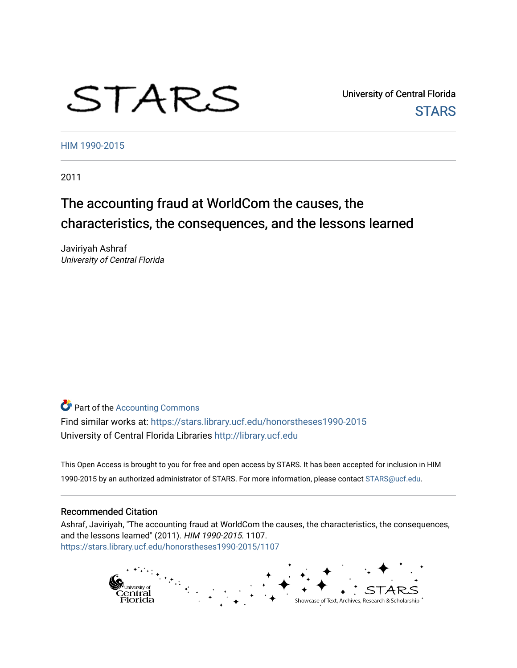# STARS

University of Central Florida **STARS** 

[HIM 1990-2015](https://stars.library.ucf.edu/honorstheses1990-2015) 

2011

# The accounting fraud at WorldCom the causes, the characteristics, the consequences, and the lessons learned

Javiriyah Ashraf University of Central Florida

**Part of the [Accounting Commons](http://network.bepress.com/hgg/discipline/625?utm_source=stars.library.ucf.edu%2Fhonorstheses1990-2015%2F1107&utm_medium=PDF&utm_campaign=PDFCoverPages)** 

Find similar works at: <https://stars.library.ucf.edu/honorstheses1990-2015> University of Central Florida Libraries [http://library.ucf.edu](http://library.ucf.edu/) 

This Open Access is brought to you for free and open access by STARS. It has been accepted for inclusion in HIM 1990-2015 by an authorized administrator of STARS. For more information, please contact [STARS@ucf.edu](mailto:STARS@ucf.edu).

## Recommended Citation

Ashraf, Javiriyah, "The accounting fraud at WorldCom the causes, the characteristics, the consequences, and the lessons learned" (2011). HIM 1990-2015. 1107. [https://stars.library.ucf.edu/honorstheses1990-2015/1107](https://stars.library.ucf.edu/honorstheses1990-2015/1107?utm_source=stars.library.ucf.edu%2Fhonorstheses1990-2015%2F1107&utm_medium=PDF&utm_campaign=PDFCoverPages) 

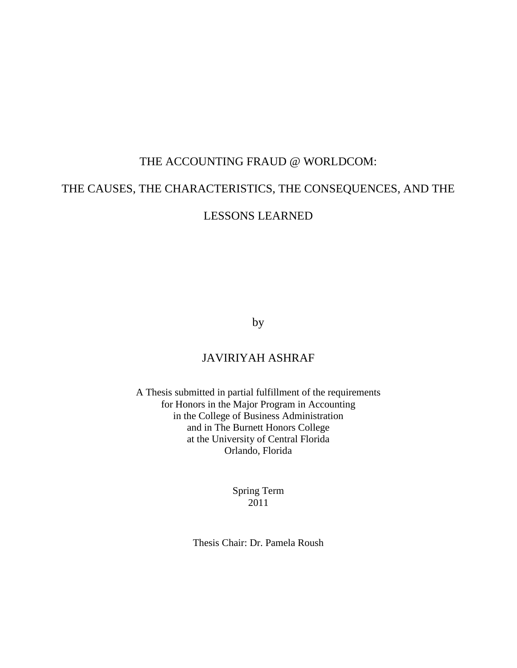## THE ACCOUNTING FRAUD @ WORLDCOM:

## THE CAUSES, THE CHARACTERISTICS, THE CONSEQUENCES, AND THE

LESSONS LEARNED

by

## JAVIRIYAH ASHRAF

A Thesis submitted in partial fulfillment of the requirements for Honors in the Major Program in Accounting in the College of Business Administration and in The Burnett Honors College at the University of Central Florida Orlando, Florida

> Spring Term 2011

Thesis Chair: Dr. Pamela Roush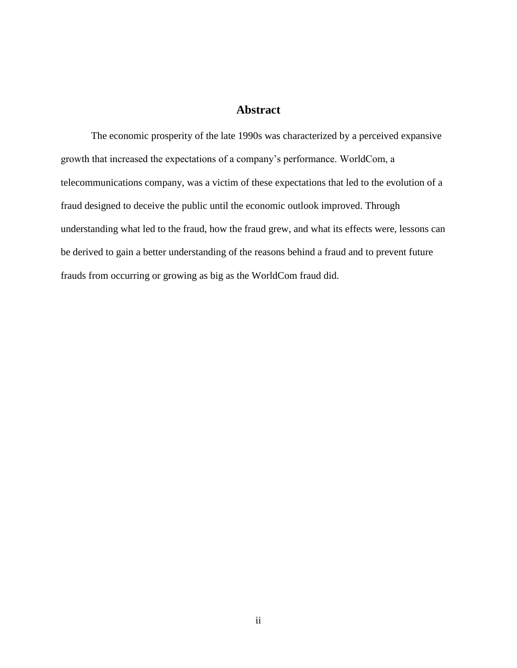## **Abstract**

The economic prosperity of the late 1990s was characterized by a perceived expansive growth that increased the expectations of a company"s performance. WorldCom, a telecommunications company, was a victim of these expectations that led to the evolution of a fraud designed to deceive the public until the economic outlook improved. Through understanding what led to the fraud, how the fraud grew, and what its effects were, lessons can be derived to gain a better understanding of the reasons behind a fraud and to prevent future frauds from occurring or growing as big as the WorldCom fraud did.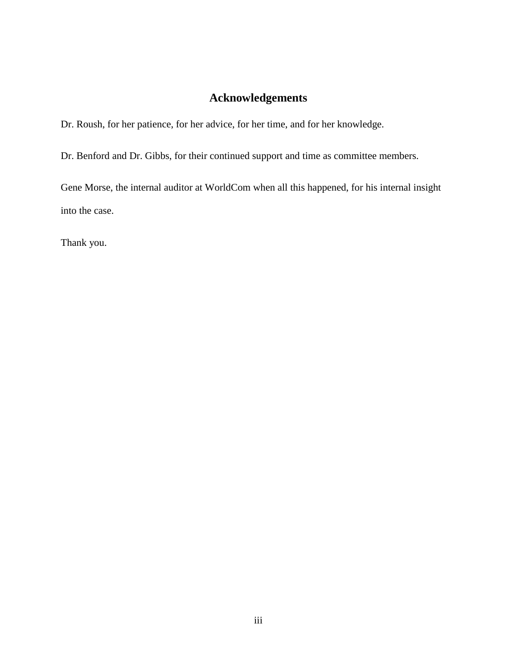## **Acknowledgements**

Dr. Roush, for her patience, for her advice, for her time, and for her knowledge.

Dr. Benford and Dr. Gibbs, for their continued support and time as committee members.

Gene Morse, the internal auditor at WorldCom when all this happened, for his internal insight into the case.

Thank you.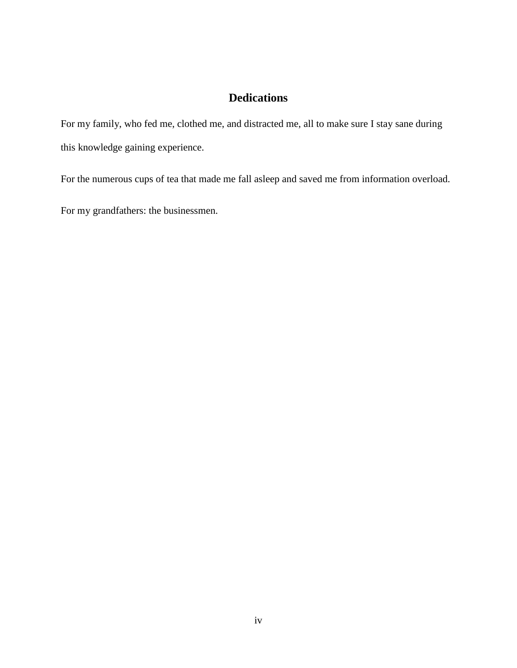## **Dedications**

For my family, who fed me, clothed me, and distracted me, all to make sure I stay sane during this knowledge gaining experience.

For the numerous cups of tea that made me fall asleep and saved me from information overload.

For my grandfathers: the businessmen.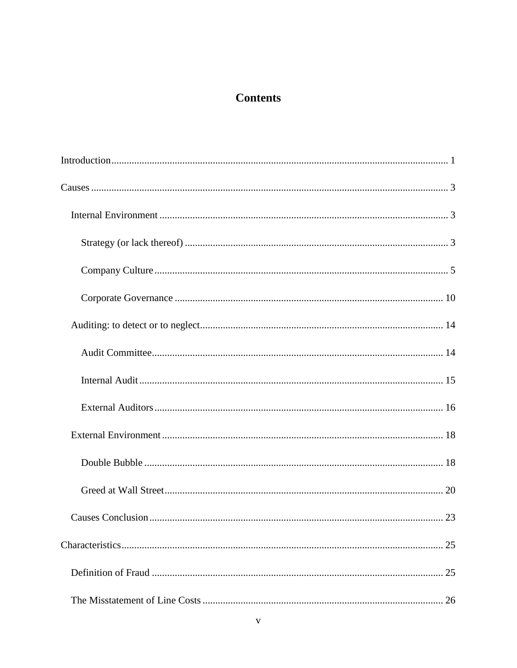## **Contents**

| 25 |
|----|
| 25 |
| 26 |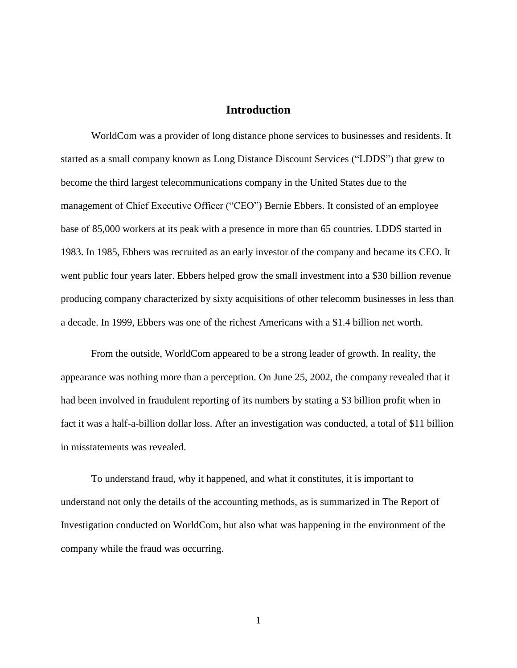## **Introduction**

<span id="page-8-0"></span>WorldCom was a provider of long distance phone services to businesses and residents. It started as a small company known as Long Distance Discount Services ("LDDS") that grew to become the third largest telecommunications company in the United States due to the management of Chief Executive Officer ("CEO") Bernie Ebbers. It consisted of an employee base of 85,000 workers at its peak with a presence in more than 65 countries. LDDS started in 1983. In 1985, Ebbers was recruited as an early investor of the company and became its CEO. It went public four years later. Ebbers helped grow the small investment into a \$30 billion revenue producing company characterized by sixty acquisitions of other telecomm businesses in less than a decade. In 1999, Ebbers was one of the richest Americans with a \$1.4 billion net worth.

From the outside, WorldCom appeared to be a strong leader of growth. In reality, the appearance was nothing more than a perception. On June 25, 2002, the company revealed that it had been involved in fraudulent reporting of its numbers by stating a \$3 billion profit when in fact it was a half-a-billion dollar loss. After an investigation was conducted, a total of \$11 billion in misstatements was revealed.

To understand fraud, why it happened, and what it constitutes, it is important to understand not only the details of the accounting methods, as is summarized in The Report of Investigation conducted on WorldCom, but also what was happening in the environment of the company while the fraud was occurring.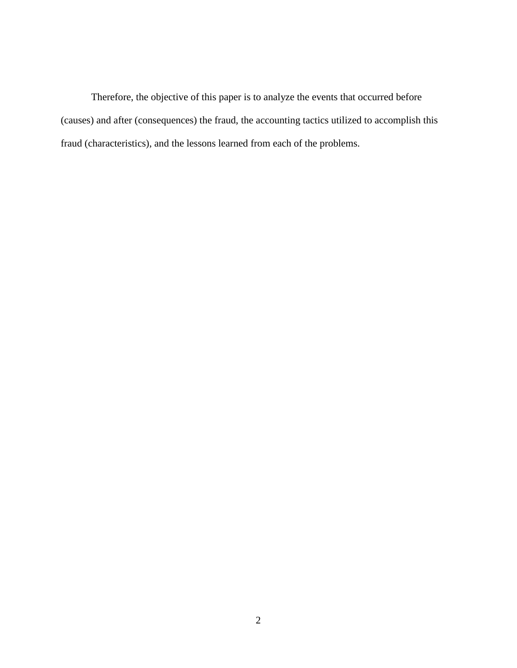Therefore, the objective of this paper is to analyze the events that occurred before (causes) and after (consequences) the fraud, the accounting tactics utilized to accomplish this fraud (characteristics), and the lessons learned from each of the problems.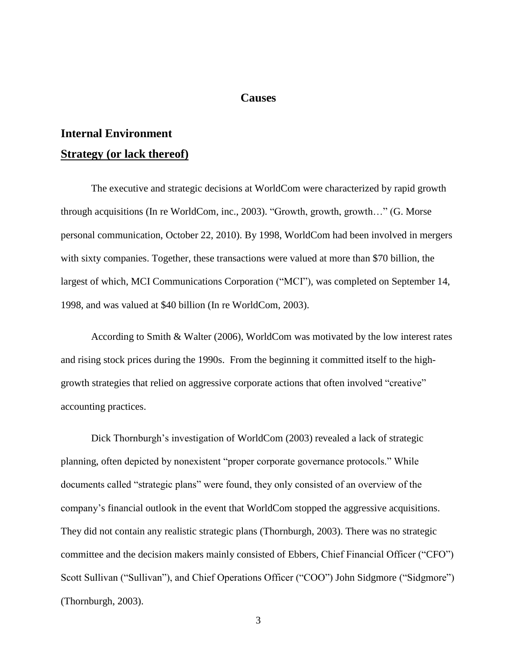#### **Causes**

# <span id="page-10-2"></span><span id="page-10-1"></span><span id="page-10-0"></span>**Internal Environment Strategy (or lack thereof)**

The executive and strategic decisions at WorldCom were characterized by rapid growth through acquisitions (In re WorldCom, inc., 2003). "Growth, growth, growth…" (G. Morse personal communication, October 22, 2010). By 1998, WorldCom had been involved in mergers with sixty companies. Together, these transactions were valued at more than \$70 billion, the largest of which, MCI Communications Corporation ("MCI"), was completed on September 14, 1998, and was valued at \$40 billion (In re WorldCom, 2003).

According to Smith & Walter (2006), WorldCom was motivated by the low interest rates and rising stock prices during the 1990s. From the beginning it committed itself to the highgrowth strategies that relied on aggressive corporate actions that often involved "creative" accounting practices.

Dick Thornburgh's investigation of WorldCom (2003) revealed a lack of strategic planning, often depicted by nonexistent "proper corporate governance protocols." While documents called "strategic plans" were found, they only consisted of an overview of the company"s financial outlook in the event that WorldCom stopped the aggressive acquisitions. They did not contain any realistic strategic plans (Thornburgh, 2003). There was no strategic committee and the decision makers mainly consisted of Ebbers, Chief Financial Officer ("CFO") Scott Sullivan ("Sullivan"), and Chief Operations Officer ("COO") John Sidgmore ("Sidgmore") (Thornburgh, 2003).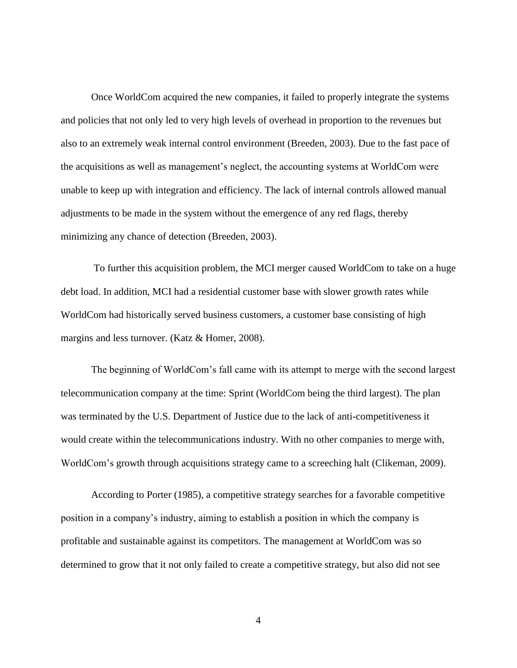Once WorldCom acquired the new companies, it failed to properly integrate the systems and policies that not only led to very high levels of overhead in proportion to the revenues but also to an extremely weak internal control environment (Breeden, 2003). Due to the fast pace of the acquisitions as well as management"s neglect, the accounting systems at WorldCom were unable to keep up with integration and efficiency. The lack of internal controls allowed manual adjustments to be made in the system without the emergence of any red flags, thereby minimizing any chance of detection (Breeden, 2003).

To further this acquisition problem, the MCI merger caused WorldCom to take on a huge debt load. In addition, MCI had a residential customer base with slower growth rates while WorldCom had historically served business customers, a customer base consisting of high margins and less turnover. (Katz & Homer, 2008).

The beginning of WorldCom"s fall came with its attempt to merge with the second largest telecommunication company at the time: Sprint (WorldCom being the third largest). The plan was terminated by the U.S. Department of Justice due to the lack of anti-competitiveness it would create within the telecommunications industry. With no other companies to merge with, WorldCom"s growth through acquisitions strategy came to a screeching halt (Clikeman, 2009).

According to Porter (1985), a competitive strategy searches for a favorable competitive position in a company"s industry, aiming to establish a position in which the company is profitable and sustainable against its competitors. The management at WorldCom was so determined to grow that it not only failed to create a competitive strategy, but also did not see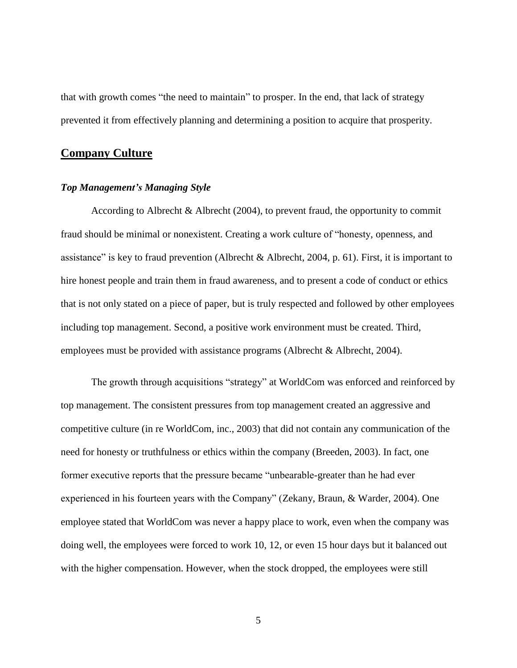that with growth comes "the need to maintain" to prosper. In the end, that lack of strategy prevented it from effectively planning and determining a position to acquire that prosperity.

## <span id="page-12-0"></span>**Company Culture**

#### *Top Management's Managing Style*

According to Albrecht & Albrecht (2004), to prevent fraud, the opportunity to commit fraud should be minimal or nonexistent. Creating a work culture of "honesty, openness, and assistance" is key to fraud prevention (Albrecht & Albrecht, 2004, p. 61). First, it is important to hire honest people and train them in fraud awareness, and to present a code of conduct or ethics that is not only stated on a piece of paper, but is truly respected and followed by other employees including top management. Second, a positive work environment must be created. Third, employees must be provided with assistance programs (Albrecht & Albrecht, 2004).

The growth through acquisitions "strategy" at WorldCom was enforced and reinforced by top management. The consistent pressures from top management created an aggressive and competitive culture (in re WorldCom, inc., 2003) that did not contain any communication of the need for honesty or truthfulness or ethics within the company (Breeden, 2003). In fact, one former executive reports that the pressure became "unbearable-greater than he had ever experienced in his fourteen years with the Company" (Zekany, Braun, & Warder, 2004). One employee stated that WorldCom was never a happy place to work, even when the company was doing well, the employees were forced to work 10, 12, or even 15 hour days but it balanced out with the higher compensation. However, when the stock dropped, the employees were still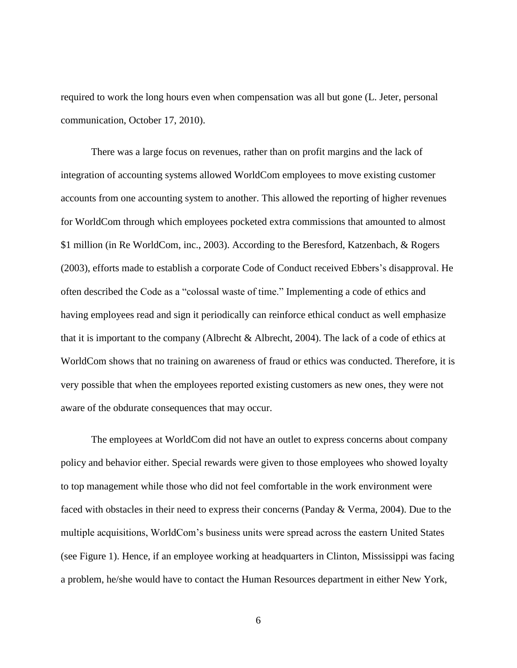required to work the long hours even when compensation was all but gone (L. Jeter, personal communication, October 17, 2010).

There was a large focus on revenues, rather than on profit margins and the lack of integration of accounting systems allowed WorldCom employees to move existing customer accounts from one accounting system to another. This allowed the reporting of higher revenues for WorldCom through which employees pocketed extra commissions that amounted to almost \$1 million (in Re WorldCom, inc., 2003). According to the Beresford, Katzenbach, & Rogers (2003), efforts made to establish a corporate Code of Conduct received Ebbers"s disapproval. He often described the Code as a "colossal waste of time." Implementing a code of ethics and having employees read and sign it periodically can reinforce ethical conduct as well emphasize that it is important to the company (Albrecht & Albrecht, 2004). The lack of a code of ethics at WorldCom shows that no training on awareness of fraud or ethics was conducted. Therefore, it is very possible that when the employees reported existing customers as new ones, they were not aware of the obdurate consequences that may occur.

The employees at WorldCom did not have an outlet to express concerns about company policy and behavior either. Special rewards were given to those employees who showed loyalty to top management while those who did not feel comfortable in the work environment were faced with obstacles in their need to express their concerns (Panday & Verma, 2004). Due to the multiple acquisitions, WorldCom"s business units were spread across the eastern United States (see Figure 1). Hence, if an employee working at headquarters in Clinton, Mississippi was facing a problem, he/she would have to contact the Human Resources department in either New York,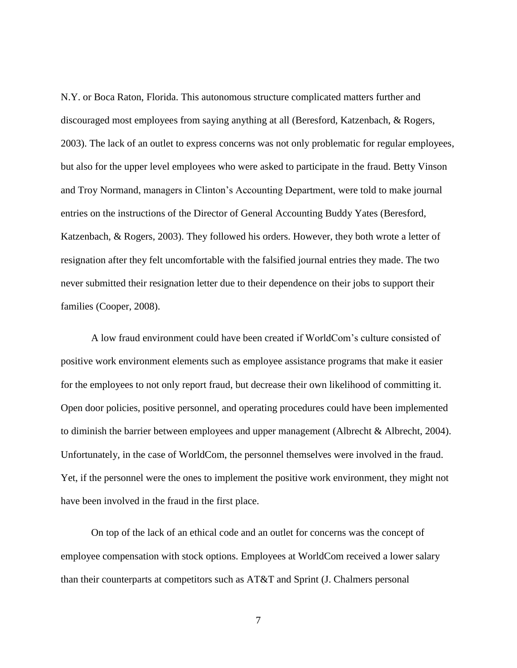N.Y. or Boca Raton, Florida. This autonomous structure complicated matters further and discouraged most employees from saying anything at all (Beresford, Katzenbach, & Rogers, 2003). The lack of an outlet to express concerns was not only problematic for regular employees, but also for the upper level employees who were asked to participate in the fraud. Betty Vinson and Troy Normand, managers in Clinton"s Accounting Department, were told to make journal entries on the instructions of the Director of General Accounting Buddy Yates (Beresford, Katzenbach, & Rogers, 2003). They followed his orders. However, they both wrote a letter of resignation after they felt uncomfortable with the falsified journal entries they made. The two never submitted their resignation letter due to their dependence on their jobs to support their families (Cooper, 2008).

A low fraud environment could have been created if WorldCom"s culture consisted of positive work environment elements such as employee assistance programs that make it easier for the employees to not only report fraud, but decrease their own likelihood of committing it. Open door policies, positive personnel, and operating procedures could have been implemented to diminish the barrier between employees and upper management (Albrecht & Albrecht, 2004). Unfortunately, in the case of WorldCom, the personnel themselves were involved in the fraud. Yet, if the personnel were the ones to implement the positive work environment, they might not have been involved in the fraud in the first place.

On top of the lack of an ethical code and an outlet for concerns was the concept of employee compensation with stock options. Employees at WorldCom received a lower salary than their counterparts at competitors such as AT&T and Sprint (J. Chalmers personal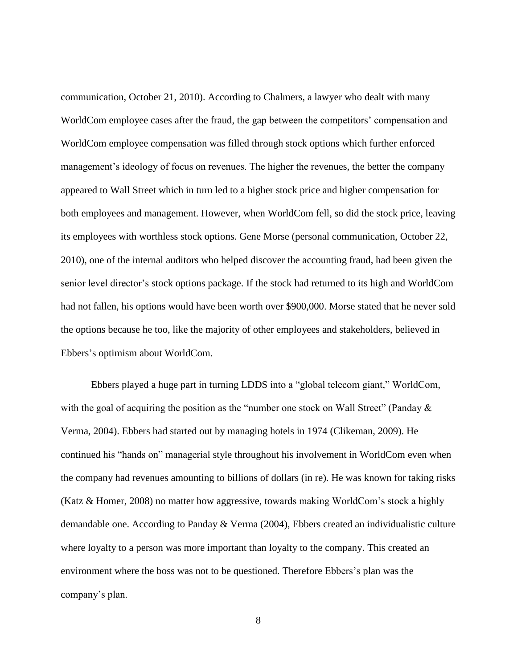communication, October 21, 2010). According to Chalmers, a lawyer who dealt with many WorldCom employee cases after the fraud, the gap between the competitors' compensation and WorldCom employee compensation was filled through stock options which further enforced management's ideology of focus on revenues. The higher the revenues, the better the company appeared to Wall Street which in turn led to a higher stock price and higher compensation for both employees and management. However, when WorldCom fell, so did the stock price, leaving its employees with worthless stock options. Gene Morse (personal communication, October 22, 2010), one of the internal auditors who helped discover the accounting fraud, had been given the senior level director"s stock options package. If the stock had returned to its high and WorldCom had not fallen, his options would have been worth over \$900,000. Morse stated that he never sold the options because he too, like the majority of other employees and stakeholders, believed in Ebbers"s optimism about WorldCom.

Ebbers played a huge part in turning LDDS into a "global telecom giant," WorldCom, with the goal of acquiring the position as the "number one stock on Wall Street" (Panday  $\&$ Verma, 2004). Ebbers had started out by managing hotels in 1974 (Clikeman, 2009). He continued his "hands on" managerial style throughout his involvement in WorldCom even when the company had revenues amounting to billions of dollars (in re). He was known for taking risks (Katz & Homer, 2008) no matter how aggressive, towards making WorldCom"s stock a highly demandable one. According to Panday & Verma (2004), Ebbers created an individualistic culture where loyalty to a person was more important than loyalty to the company. This created an environment where the boss was not to be questioned. Therefore Ebbers"s plan was the company"s plan.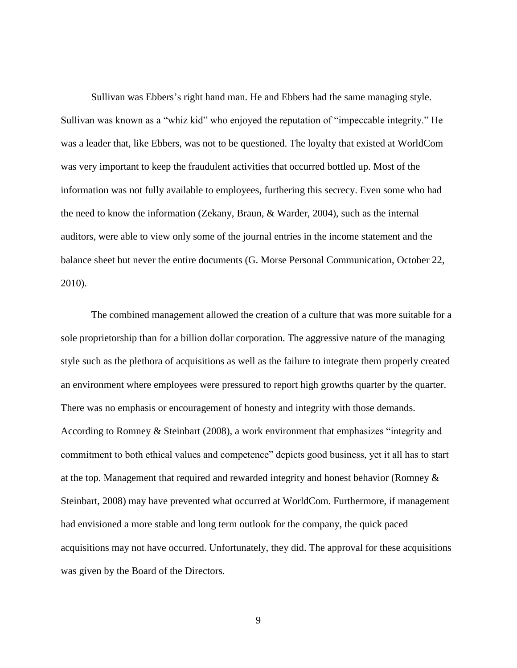Sullivan was Ebbers"s right hand man. He and Ebbers had the same managing style. Sullivan was known as a "whiz kid" who enjoyed the reputation of "impeccable integrity." He was a leader that, like Ebbers, was not to be questioned. The loyalty that existed at WorldCom was very important to keep the fraudulent activities that occurred bottled up. Most of the information was not fully available to employees, furthering this secrecy. Even some who had the need to know the information (Zekany, Braun, & Warder, 2004), such as the internal auditors, were able to view only some of the journal entries in the income statement and the balance sheet but never the entire documents (G. Morse Personal Communication, October 22, 2010).

The combined management allowed the creation of a culture that was more suitable for a sole proprietorship than for a billion dollar corporation. The aggressive nature of the managing style such as the plethora of acquisitions as well as the failure to integrate them properly created an environment where employees were pressured to report high growths quarter by the quarter. There was no emphasis or encouragement of honesty and integrity with those demands. According to Romney & Steinbart (2008), a work environment that emphasizes "integrity and commitment to both ethical values and competence" depicts good business, yet it all has to start at the top. Management that required and rewarded integrity and honest behavior (Romney & Steinbart, 2008) may have prevented what occurred at WorldCom. Furthermore, if management had envisioned a more stable and long term outlook for the company, the quick paced acquisitions may not have occurred. Unfortunately, they did. The approval for these acquisitions was given by the Board of the Directors.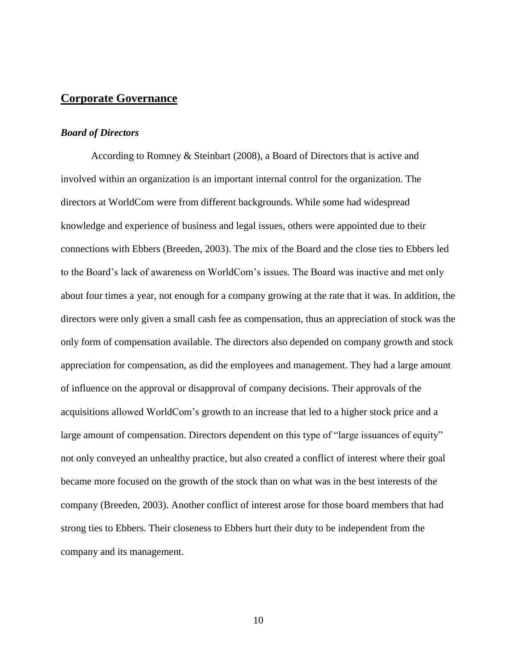#### <span id="page-17-0"></span>**Corporate Governance**

#### *Board of Directors*

According to Romney & Steinbart (2008), a Board of Directors that is active and involved within an organization is an important internal control for the organization. The directors at WorldCom were from different backgrounds. While some had widespread knowledge and experience of business and legal issues, others were appointed due to their connections with Ebbers (Breeden, 2003). The mix of the Board and the close ties to Ebbers led to the Board"s lack of awareness on WorldCom"s issues. The Board was inactive and met only about four times a year, not enough for a company growing at the rate that it was. In addition, the directors were only given a small cash fee as compensation, thus an appreciation of stock was the only form of compensation available. The directors also depended on company growth and stock appreciation for compensation, as did the employees and management. They had a large amount of influence on the approval or disapproval of company decisions. Their approvals of the acquisitions allowed WorldCom"s growth to an increase that led to a higher stock price and a large amount of compensation. Directors dependent on this type of "large issuances of equity" not only conveyed an unhealthy practice, but also created a conflict of interest where their goal became more focused on the growth of the stock than on what was in the best interests of the company (Breeden, 2003). Another conflict of interest arose for those board members that had strong ties to Ebbers. Their closeness to Ebbers hurt their duty to be independent from the company and its management.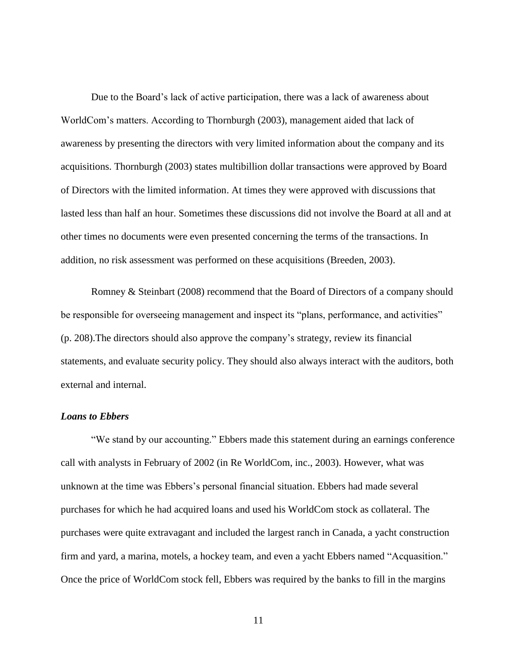Due to the Board"s lack of active participation, there was a lack of awareness about WorldCom"s matters. According to Thornburgh (2003), management aided that lack of awareness by presenting the directors with very limited information about the company and its acquisitions. Thornburgh (2003) states multibillion dollar transactions were approved by Board of Directors with the limited information. At times they were approved with discussions that lasted less than half an hour. Sometimes these discussions did not involve the Board at all and at other times no documents were even presented concerning the terms of the transactions. In addition, no risk assessment was performed on these acquisitions (Breeden, 2003).

Romney & Steinbart (2008) recommend that the Board of Directors of a company should be responsible for overseeing management and inspect its "plans, performance, and activities" (p. 208).The directors should also approve the company"s strategy, review its financial statements, and evaluate security policy. They should also always interact with the auditors, both external and internal.

## *Loans to Ebbers*

"We stand by our accounting." Ebbers made this statement during an earnings conference call with analysts in February of 2002 (in Re WorldCom, inc., 2003). However, what was unknown at the time was Ebbers"s personal financial situation. Ebbers had made several purchases for which he had acquired loans and used his WorldCom stock as collateral. The purchases were quite extravagant and included the largest ranch in Canada, a yacht construction firm and yard, a marina, motels, a hockey team, and even a yacht Ebbers named "Acquasition." Once the price of WorldCom stock fell, Ebbers was required by the banks to fill in the margins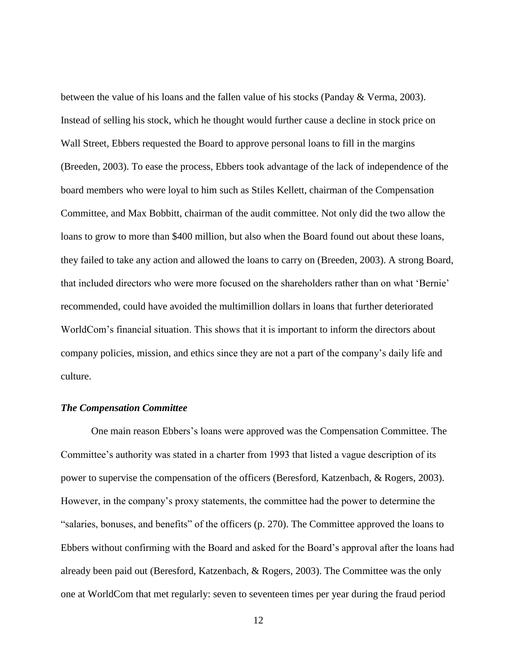between the value of his loans and the fallen value of his stocks (Panday & Verma, 2003). Instead of selling his stock, which he thought would further cause a decline in stock price on Wall Street, Ebbers requested the Board to approve personal loans to fill in the margins (Breeden, 2003). To ease the process, Ebbers took advantage of the lack of independence of the board members who were loyal to him such as Stiles Kellett, chairman of the Compensation Committee, and Max Bobbitt, chairman of the audit committee. Not only did the two allow the loans to grow to more than \$400 million, but also when the Board found out about these loans, they failed to take any action and allowed the loans to carry on (Breeden, 2003). A strong Board, that included directors who were more focused on the shareholders rather than on what "Bernie" recommended, could have avoided the multimillion dollars in loans that further deteriorated WorldCom"s financial situation. This shows that it is important to inform the directors about company policies, mission, and ethics since they are not a part of the company"s daily life and culture.

#### *The Compensation Committee*

One main reason Ebbers"s loans were approved was the Compensation Committee. The Committee's authority was stated in a charter from 1993 that listed a vague description of its power to supervise the compensation of the officers (Beresford, Katzenbach, & Rogers, 2003). However, in the company"s proxy statements, the committee had the power to determine the "salaries, bonuses, and benefits" of the officers (p. 270). The Committee approved the loans to Ebbers without confirming with the Board and asked for the Board"s approval after the loans had already been paid out (Beresford, Katzenbach, & Rogers, 2003). The Committee was the only one at WorldCom that met regularly: seven to seventeen times per year during the fraud period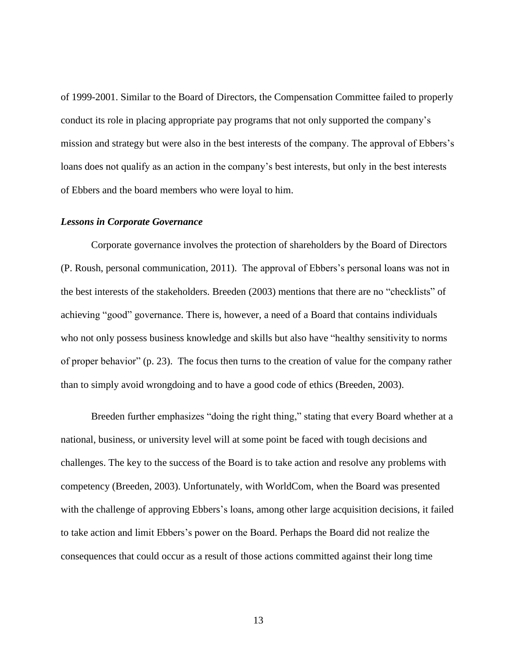of 1999-2001. Similar to the Board of Directors, the Compensation Committee failed to properly conduct its role in placing appropriate pay programs that not only supported the company"s mission and strategy but were also in the best interests of the company. The approval of Ebbers"s loans does not qualify as an action in the company's best interests, but only in the best interests of Ebbers and the board members who were loyal to him.

#### *Lessons in Corporate Governance*

Corporate governance involves the protection of shareholders by the Board of Directors (P. Roush, personal communication, 2011). The approval of Ebbers"s personal loans was not in the best interests of the stakeholders. Breeden (2003) mentions that there are no "checklists" of achieving "good" governance. There is, however, a need of a Board that contains individuals who not only possess business knowledge and skills but also have "healthy sensitivity to norms of proper behavior" (p. 23). The focus then turns to the creation of value for the company rather than to simply avoid wrongdoing and to have a good code of ethics (Breeden, 2003).

Breeden further emphasizes "doing the right thing," stating that every Board whether at a national, business, or university level will at some point be faced with tough decisions and challenges. The key to the success of the Board is to take action and resolve any problems with competency (Breeden, 2003). Unfortunately, with WorldCom, when the Board was presented with the challenge of approving Ebbers's loans, among other large acquisition decisions, it failed to take action and limit Ebbers"s power on the Board. Perhaps the Board did not realize the consequences that could occur as a result of those actions committed against their long time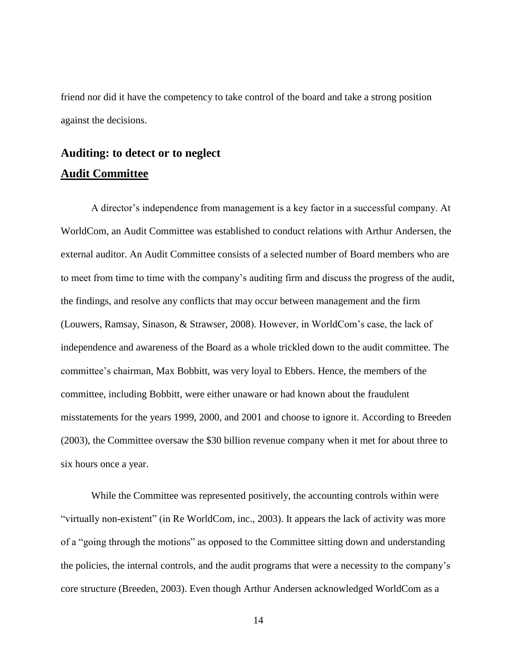friend nor did it have the competency to take control of the board and take a strong position against the decisions.

# <span id="page-21-1"></span><span id="page-21-0"></span>**Auditing: to detect or to neglect Audit Committee**

A director's independence from management is a key factor in a successful company. At WorldCom, an Audit Committee was established to conduct relations with Arthur Andersen, the external auditor. An Audit Committee consists of a selected number of Board members who are to meet from time to time with the company"s auditing firm and discuss the progress of the audit, the findings, and resolve any conflicts that may occur between management and the firm (Louwers, Ramsay, Sinason, & Strawser, 2008). However, in WorldCom"s case, the lack of independence and awareness of the Board as a whole trickled down to the audit committee. The committee"s chairman, Max Bobbitt, was very loyal to Ebbers. Hence, the members of the committee, including Bobbitt, were either unaware or had known about the fraudulent misstatements for the years 1999, 2000, and 2001 and choose to ignore it. According to Breeden (2003), the Committee oversaw the \$30 billion revenue company when it met for about three to six hours once a year.

While the Committee was represented positively, the accounting controls within were "virtually non-existent" (in Re WorldCom, inc., 2003). It appears the lack of activity was more of a "going through the motions" as opposed to the Committee sitting down and understanding the policies, the internal controls, and the audit programs that were a necessity to the company"s core structure (Breeden, 2003). Even though Arthur Andersen acknowledged WorldCom as a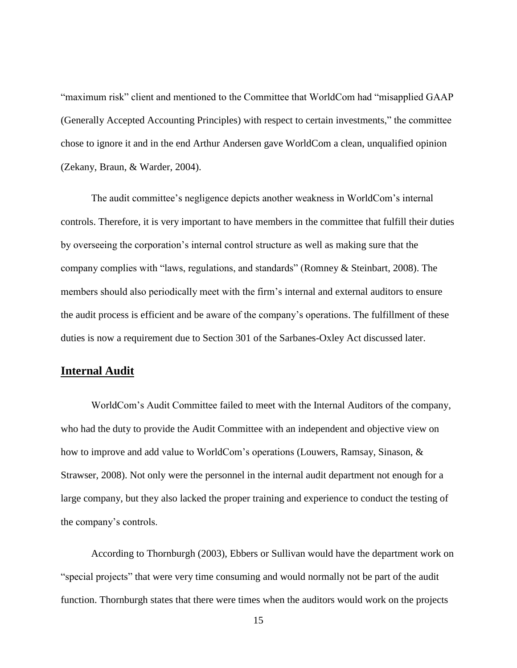"maximum risk" client and mentioned to the Committee that WorldCom had "misapplied GAAP (Generally Accepted Accounting Principles) with respect to certain investments," the committee chose to ignore it and in the end Arthur Andersen gave WorldCom a clean, unqualified opinion (Zekany, Braun, & Warder, 2004).

The audit committee"s negligence depicts another weakness in WorldCom"s internal controls. Therefore, it is very important to have members in the committee that fulfill their duties by overseeing the corporation"s internal control structure as well as making sure that the company complies with "laws, regulations, and standards" (Romney & Steinbart, 2008). The members should also periodically meet with the firm"s internal and external auditors to ensure the audit process is efficient and be aware of the company"s operations. The fulfillment of these duties is now a requirement due to Section 301 of the Sarbanes-Oxley Act discussed later.

## <span id="page-22-0"></span>**Internal Audit**

WorldCom"s Audit Committee failed to meet with the Internal Auditors of the company, who had the duty to provide the Audit Committee with an independent and objective view on how to improve and add value to WorldCom"s operations (Louwers, Ramsay, Sinason, & Strawser, 2008). Not only were the personnel in the internal audit department not enough for a large company, but they also lacked the proper training and experience to conduct the testing of the company"s controls.

According to Thornburgh (2003), Ebbers or Sullivan would have the department work on "special projects" that were very time consuming and would normally not be part of the audit function. Thornburgh states that there were times when the auditors would work on the projects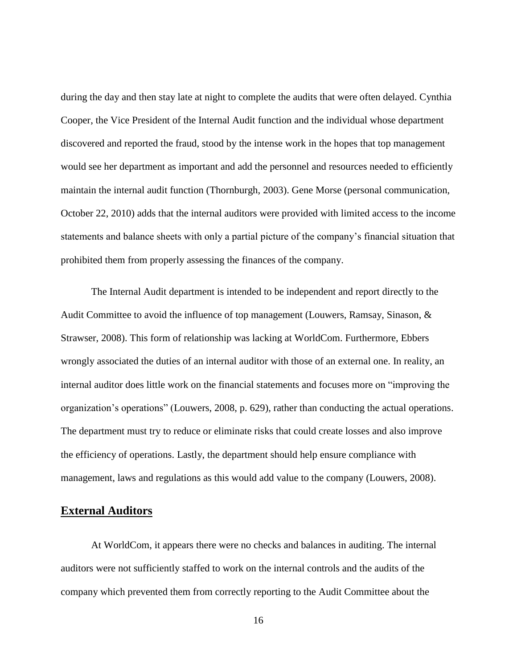during the day and then stay late at night to complete the audits that were often delayed. Cynthia Cooper, the Vice President of the Internal Audit function and the individual whose department discovered and reported the fraud, stood by the intense work in the hopes that top management would see her department as important and add the personnel and resources needed to efficiently maintain the internal audit function (Thornburgh, 2003). Gene Morse (personal communication, October 22, 2010) adds that the internal auditors were provided with limited access to the income statements and balance sheets with only a partial picture of the company"s financial situation that prohibited them from properly assessing the finances of the company.

The Internal Audit department is intended to be independent and report directly to the Audit Committee to avoid the influence of top management (Louwers, Ramsay, Sinason, & Strawser, 2008). This form of relationship was lacking at WorldCom. Furthermore, Ebbers wrongly associated the duties of an internal auditor with those of an external one. In reality, an internal auditor does little work on the financial statements and focuses more on "improving the organization"s operations" (Louwers, 2008, p. 629), rather than conducting the actual operations. The department must try to reduce or eliminate risks that could create losses and also improve the efficiency of operations. Lastly, the department should help ensure compliance with management, laws and regulations as this would add value to the company (Louwers, 2008).

#### <span id="page-23-0"></span>**External Auditors**

At WorldCom, it appears there were no checks and balances in auditing. The internal auditors were not sufficiently staffed to work on the internal controls and the audits of the company which prevented them from correctly reporting to the Audit Committee about the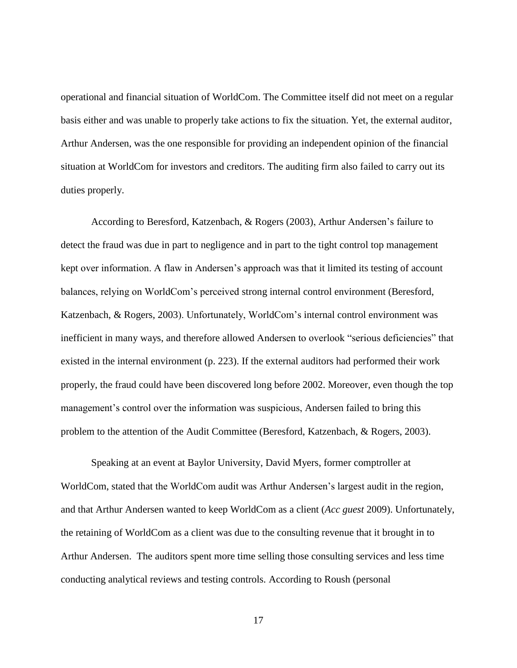operational and financial situation of WorldCom. The Committee itself did not meet on a regular basis either and was unable to properly take actions to fix the situation. Yet, the external auditor, Arthur Andersen, was the one responsible for providing an independent opinion of the financial situation at WorldCom for investors and creditors. The auditing firm also failed to carry out its duties properly.

According to Beresford, Katzenbach, & Rogers (2003), Arthur Andersen's failure to detect the fraud was due in part to negligence and in part to the tight control top management kept over information. A flaw in Andersen"s approach was that it limited its testing of account balances, relying on WorldCom"s perceived strong internal control environment (Beresford, Katzenbach, & Rogers, 2003). Unfortunately, WorldCom's internal control environment was inefficient in many ways, and therefore allowed Andersen to overlook "serious deficiencies" that existed in the internal environment (p. 223). If the external auditors had performed their work properly, the fraud could have been discovered long before 2002. Moreover, even though the top management's control over the information was suspicious, Andersen failed to bring this problem to the attention of the Audit Committee (Beresford, Katzenbach, & Rogers, 2003).

Speaking at an event at Baylor University, David Myers, former comptroller at WorldCom, stated that the WorldCom audit was Arthur Andersen"s largest audit in the region, and that Arthur Andersen wanted to keep WorldCom as a client (*Acc guest* 2009). Unfortunately, the retaining of WorldCom as a client was due to the consulting revenue that it brought in to Arthur Andersen. The auditors spent more time selling those consulting services and less time conducting analytical reviews and testing controls. According to Roush (personal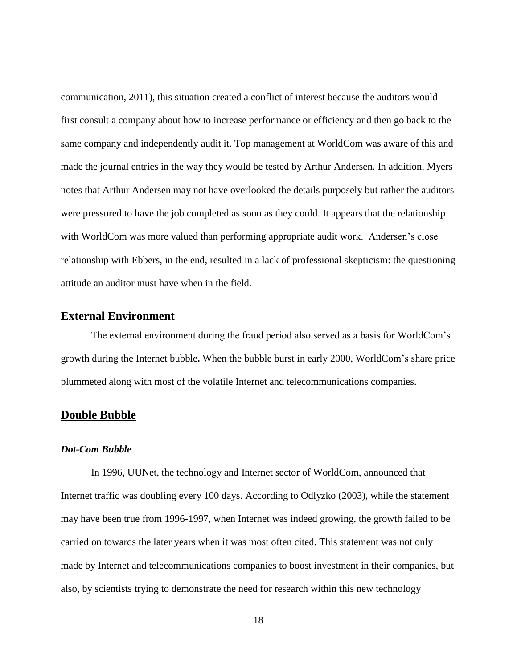communication, 2011), this situation created a conflict of interest because the auditors would first consult a company about how to increase performance or efficiency and then go back to the same company and independently audit it. Top management at WorldCom was aware of this and made the journal entries in the way they would be tested by Arthur Andersen. In addition, Myers notes that Arthur Andersen may not have overlooked the details purposely but rather the auditors were pressured to have the job completed as soon as they could. It appears that the relationship with WorldCom was more valued than performing appropriate audit work. Andersen's close relationship with Ebbers, in the end, resulted in a lack of professional skepticism: the questioning attitude an auditor must have when in the field.

## <span id="page-25-0"></span>**External Environment**

The external environment during the fraud period also served as a basis for WorldCom"s growth during the Internet bubble**.** When the bubble burst in early 2000, WorldCom"s share price plummeted along with most of the volatile Internet and telecommunications companies.

## <span id="page-25-1"></span>**Double Bubble**

#### *Dot-Com Bubble*

In 1996, UUNet, the technology and Internet sector of WorldCom, announced that Internet traffic was doubling every 100 days. According to Odlyzko (2003), while the statement may have been true from 1996-1997, when Internet was indeed growing, the growth failed to be carried on towards the later years when it was most often cited. This statement was not only made by Internet and telecommunications companies to boost investment in their companies, but also, by scientists trying to demonstrate the need for research within this new technology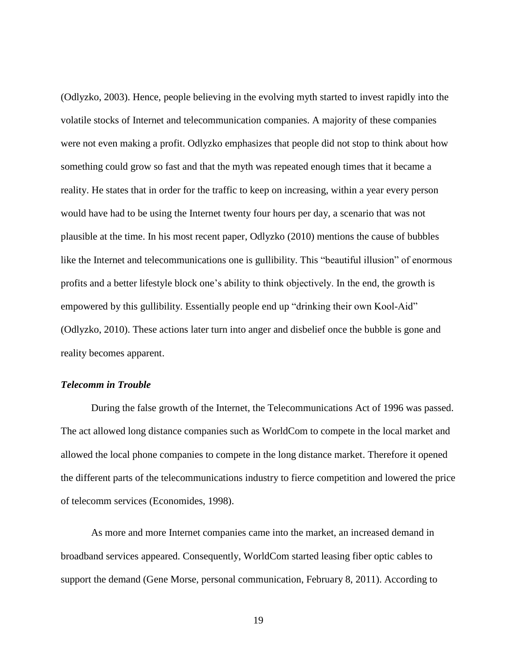(Odlyzko, 2003). Hence, people believing in the evolving myth started to invest rapidly into the volatile stocks of Internet and telecommunication companies. A majority of these companies were not even making a profit. Odlyzko emphasizes that people did not stop to think about how something could grow so fast and that the myth was repeated enough times that it became a reality. He states that in order for the traffic to keep on increasing, within a year every person would have had to be using the Internet twenty four hours per day, a scenario that was not plausible at the time. In his most recent paper, Odlyzko (2010) mentions the cause of bubbles like the Internet and telecommunications one is gullibility. This "beautiful illusion" of enormous profits and a better lifestyle block one"s ability to think objectively. In the end, the growth is empowered by this gullibility. Essentially people end up "drinking their own Kool-Aid" (Odlyzko, 2010). These actions later turn into anger and disbelief once the bubble is gone and reality becomes apparent.

#### *Telecomm in Trouble*

During the false growth of the Internet, the Telecommunications Act of 1996 was passed. The act allowed long distance companies such as WorldCom to compete in the local market and allowed the local phone companies to compete in the long distance market. Therefore it opened the different parts of the telecommunications industry to fierce competition and lowered the price of telecomm services (Economides, 1998).

As more and more Internet companies came into the market, an increased demand in broadband services appeared. Consequently, WorldCom started leasing fiber optic cables to support the demand (Gene Morse, personal communication, February 8, 2011). According to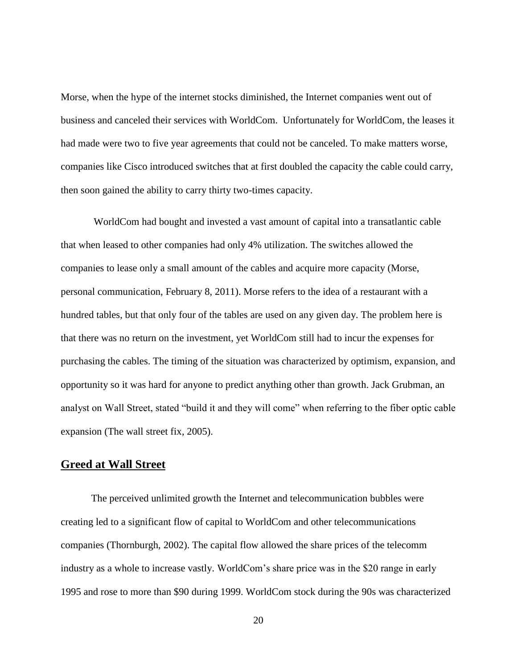Morse, when the hype of the internet stocks diminished, the Internet companies went out of business and canceled their services with WorldCom. Unfortunately for WorldCom, the leases it had made were two to five year agreements that could not be canceled. To make matters worse, companies like Cisco introduced switches that at first doubled the capacity the cable could carry, then soon gained the ability to carry thirty two-times capacity.

WorldCom had bought and invested a vast amount of capital into a transatlantic cable that when leased to other companies had only 4% utilization. The switches allowed the companies to lease only a small amount of the cables and acquire more capacity (Morse, personal communication, February 8, 2011). Morse refers to the idea of a restaurant with a hundred tables, but that only four of the tables are used on any given day. The problem here is that there was no return on the investment, yet WorldCom still had to incur the expenses for purchasing the cables. The timing of the situation was characterized by optimism, expansion, and opportunity so it was hard for anyone to predict anything other than growth. Jack Grubman, an analyst on Wall Street, stated "build it and they will come" when referring to the fiber optic cable expansion (The wall street fix, 2005).

## <span id="page-27-0"></span>**Greed at Wall Street**

The perceived unlimited growth the Internet and telecommunication bubbles were creating led to a significant flow of capital to WorldCom and other telecommunications companies (Thornburgh, 2002). The capital flow allowed the share prices of the telecomm industry as a whole to increase vastly. WorldCom"s share price was in the \$20 range in early 1995 and rose to more than \$90 during 1999. WorldCom stock during the 90s was characterized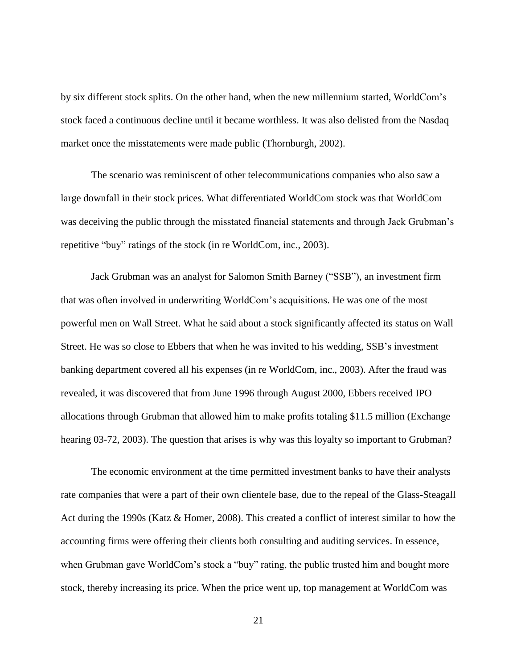by six different stock splits. On the other hand, when the new millennium started, WorldCom"s stock faced a continuous decline until it became worthless. It was also delisted from the Nasdaq market once the misstatements were made public (Thornburgh, 2002).

The scenario was reminiscent of other telecommunications companies who also saw a large downfall in their stock prices. What differentiated WorldCom stock was that WorldCom was deceiving the public through the misstated financial statements and through Jack Grubman's repetitive "buy" ratings of the stock (in re WorldCom, inc., 2003).

Jack Grubman was an analyst for Salomon Smith Barney ("SSB"), an investment firm that was often involved in underwriting WorldCom"s acquisitions. He was one of the most powerful men on Wall Street. What he said about a stock significantly affected its status on Wall Street. He was so close to Ebbers that when he was invited to his wedding, SSB"s investment banking department covered all his expenses (in re WorldCom, inc., 2003). After the fraud was revealed, it was discovered that from June 1996 through August 2000, Ebbers received IPO allocations through Grubman that allowed him to make profits totaling \$11.5 million (Exchange hearing 03-72, 2003). The question that arises is why was this loyalty so important to Grubman?

The economic environment at the time permitted investment banks to have their analysts rate companies that were a part of their own clientele base, due to the repeal of the Glass-Steagall Act during the 1990s (Katz & Homer, 2008). This created a conflict of interest similar to how the accounting firms were offering their clients both consulting and auditing services. In essence, when Grubman gave WorldCom's stock a "buy" rating, the public trusted him and bought more stock, thereby increasing its price. When the price went up, top management at WorldCom was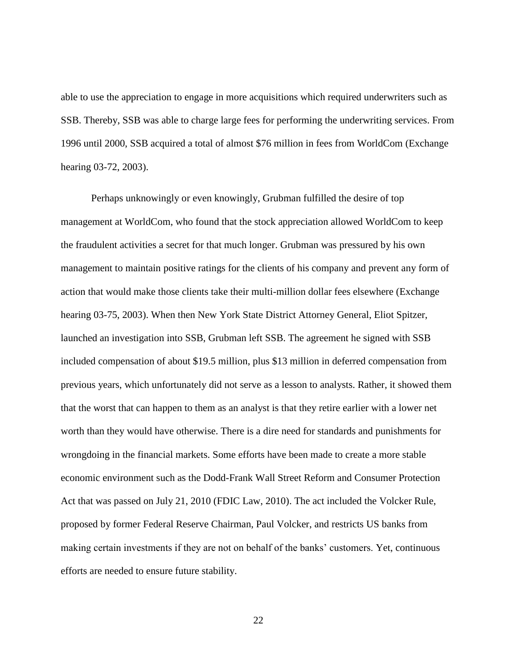able to use the appreciation to engage in more acquisitions which required underwriters such as SSB. Thereby, SSB was able to charge large fees for performing the underwriting services. From 1996 until 2000, SSB acquired a total of almost \$76 million in fees from WorldCom (Exchange hearing 03-72, 2003).

Perhaps unknowingly or even knowingly, Grubman fulfilled the desire of top management at WorldCom, who found that the stock appreciation allowed WorldCom to keep the fraudulent activities a secret for that much longer. Grubman was pressured by his own management to maintain positive ratings for the clients of his company and prevent any form of action that would make those clients take their multi-million dollar fees elsewhere (Exchange hearing 03-75, 2003). When then New York State District Attorney General, Eliot Spitzer, launched an investigation into SSB, Grubman left SSB. The agreement he signed with SSB included compensation of about \$19.5 million, plus \$13 million in deferred compensation from previous years, which unfortunately did not serve as a lesson to analysts. Rather, it showed them that the worst that can happen to them as an analyst is that they retire earlier with a lower net worth than they would have otherwise. There is a dire need for standards and punishments for wrongdoing in the financial markets. Some efforts have been made to create a more stable economic environment such as the Dodd-Frank Wall Street Reform and Consumer Protection Act that was passed on July 21, 2010 (FDIC Law, 2010). The act included the Volcker Rule, proposed by former Federal Reserve Chairman, Paul Volcker, and restricts US banks from making certain investments if they are not on behalf of the banks" customers. Yet, continuous efforts are needed to ensure future stability.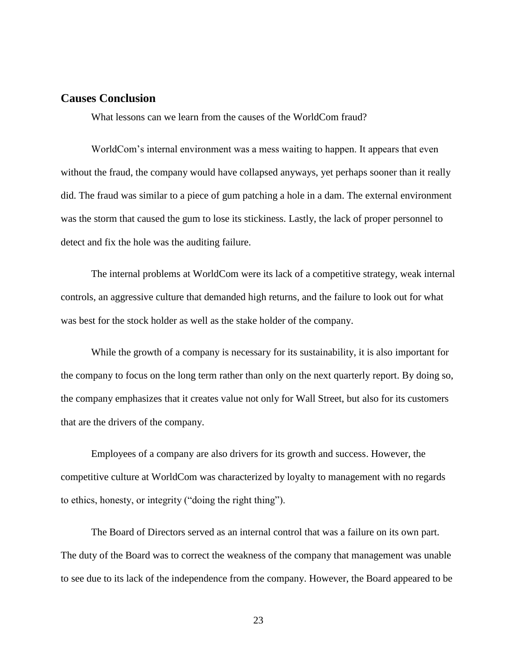## <span id="page-30-0"></span>**Causes Conclusion**

What lessons can we learn from the causes of the WorldCom fraud?

WorldCom"s internal environment was a mess waiting to happen. It appears that even without the fraud, the company would have collapsed anyways, yet perhaps sooner than it really did. The fraud was similar to a piece of gum patching a hole in a dam. The external environment was the storm that caused the gum to lose its stickiness. Lastly, the lack of proper personnel to detect and fix the hole was the auditing failure.

The internal problems at WorldCom were its lack of a competitive strategy, weak internal controls, an aggressive culture that demanded high returns, and the failure to look out for what was best for the stock holder as well as the stake holder of the company.

While the growth of a company is necessary for its sustainability, it is also important for the company to focus on the long term rather than only on the next quarterly report. By doing so, the company emphasizes that it creates value not only for Wall Street, but also for its customers that are the drivers of the company.

Employees of a company are also drivers for its growth and success. However, the competitive culture at WorldCom was characterized by loyalty to management with no regards to ethics, honesty, or integrity ("doing the right thing").

The Board of Directors served as an internal control that was a failure on its own part. The duty of the Board was to correct the weakness of the company that management was unable to see due to its lack of the independence from the company. However, the Board appeared to be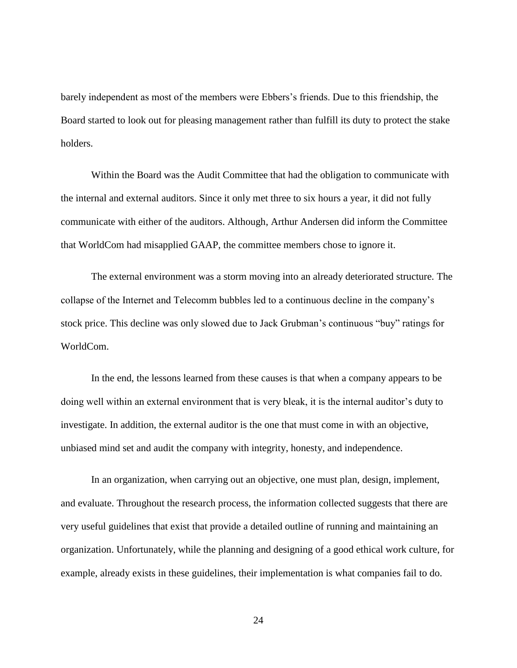barely independent as most of the members were Ebbers"s friends. Due to this friendship, the Board started to look out for pleasing management rather than fulfill its duty to protect the stake holders.

Within the Board was the Audit Committee that had the obligation to communicate with the internal and external auditors. Since it only met three to six hours a year, it did not fully communicate with either of the auditors. Although, Arthur Andersen did inform the Committee that WorldCom had misapplied GAAP, the committee members chose to ignore it.

The external environment was a storm moving into an already deteriorated structure. The collapse of the Internet and Telecomm bubbles led to a continuous decline in the company"s stock price. This decline was only slowed due to Jack Grubman"s continuous "buy" ratings for WorldCom.

In the end, the lessons learned from these causes is that when a company appears to be doing well within an external environment that is very bleak, it is the internal auditor's duty to investigate. In addition, the external auditor is the one that must come in with an objective, unbiased mind set and audit the company with integrity, honesty, and independence.

In an organization, when carrying out an objective, one must plan, design, implement, and evaluate. Throughout the research process, the information collected suggests that there are very useful guidelines that exist that provide a detailed outline of running and maintaining an organization. Unfortunately, while the planning and designing of a good ethical work culture, for example, already exists in these guidelines, their implementation is what companies fail to do.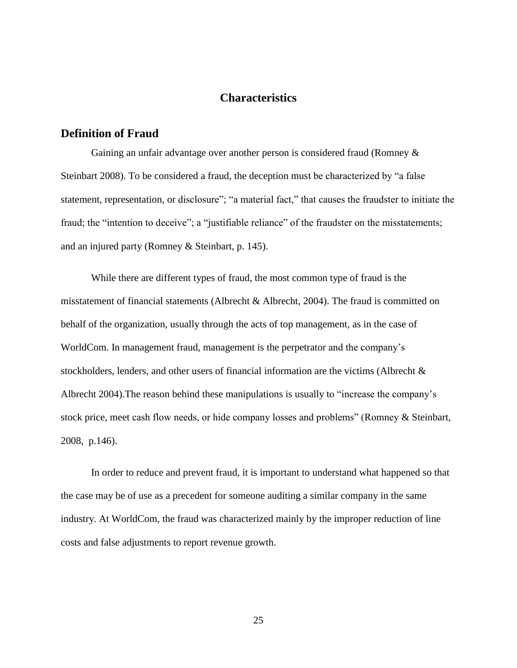## **Characteristics**

## <span id="page-32-1"></span><span id="page-32-0"></span>**Definition of Fraud**

Gaining an unfair advantage over another person is considered fraud (Romney & Steinbart 2008). To be considered a fraud, the deception must be characterized by "a false statement, representation, or disclosure"; "a material fact," that causes the fraudster to initiate the fraud; the "intention to deceive"; a "justifiable reliance" of the fraudster on the misstatements; and an injured party (Romney & Steinbart, p. 145).

While there are different types of fraud, the most common type of fraud is the misstatement of financial statements (Albrecht & Albrecht, 2004). The fraud is committed on behalf of the organization, usually through the acts of top management, as in the case of WorldCom. In management fraud, management is the perpetrator and the company"s stockholders, lenders, and other users of financial information are the victims (Albrecht & Albrecht 2004).The reason behind these manipulations is usually to "increase the company"s stock price, meet cash flow needs, or hide company losses and problems" (Romney & Steinbart, 2008, p.146).

In order to reduce and prevent fraud, it is important to understand what happened so that the case may be of use as a precedent for someone auditing a similar company in the same industry. At WorldCom, the fraud was characterized mainly by the improper reduction of line costs and false adjustments to report revenue growth.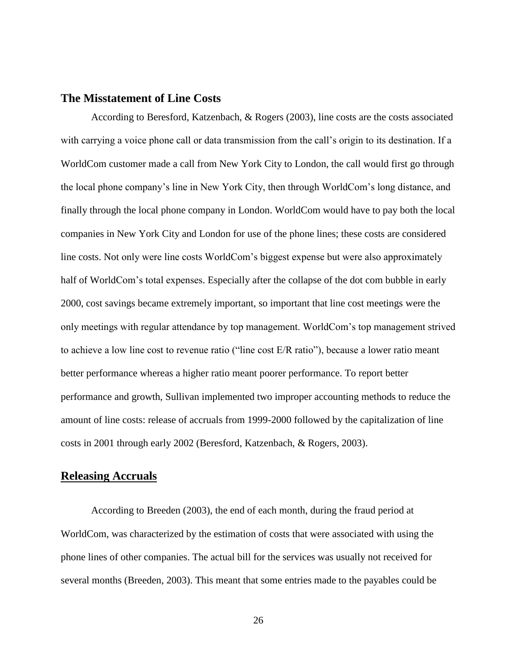## <span id="page-33-0"></span>**The Misstatement of Line Costs**

According to Beresford, Katzenbach, & Rogers (2003), line costs are the costs associated with carrying a voice phone call or data transmission from the call's origin to its destination. If a WorldCom customer made a call from New York City to London, the call would first go through the local phone company"s line in New York City, then through WorldCom"s long distance, and finally through the local phone company in London. WorldCom would have to pay both the local companies in New York City and London for use of the phone lines; these costs are considered line costs. Not only were line costs WorldCom"s biggest expense but were also approximately half of WorldCom's total expenses. Especially after the collapse of the dot com bubble in early 2000, cost savings became extremely important, so important that line cost meetings were the only meetings with regular attendance by top management. WorldCom"s top management strived to achieve a low line cost to revenue ratio ("line cost E/R ratio"), because a lower ratio meant better performance whereas a higher ratio meant poorer performance. To report better performance and growth, Sullivan implemented two improper accounting methods to reduce the amount of line costs: release of accruals from 1999-2000 followed by the capitalization of line costs in 2001 through early 2002 (Beresford, Katzenbach, & Rogers, 2003).

## <span id="page-33-1"></span>**Releasing Accruals**

According to Breeden (2003), the end of each month, during the fraud period at WorldCom, was characterized by the estimation of costs that were associated with using the phone lines of other companies. The actual bill for the services was usually not received for several months (Breeden, 2003). This meant that some entries made to the payables could be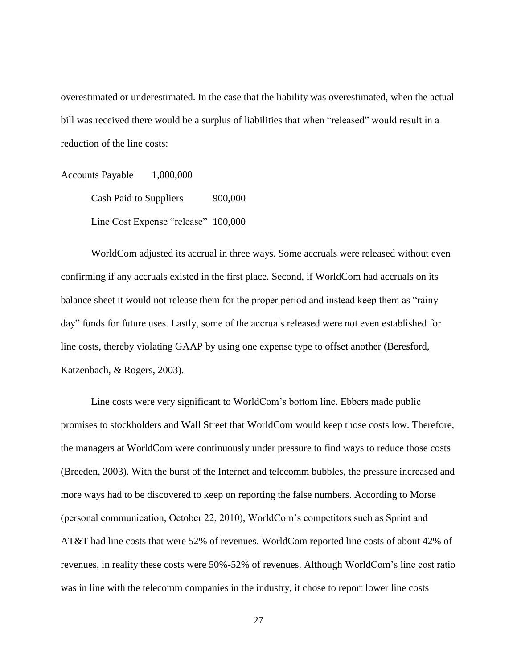overestimated or underestimated. In the case that the liability was overestimated, when the actual bill was received there would be a surplus of liabilities that when "released" would result in a reduction of the line costs:

Accounts Payable 1,000,000 Cash Paid to Suppliers 900,000 Line Cost Expense "release" 100,000

WorldCom adjusted its accrual in three ways. Some accruals were released without even confirming if any accruals existed in the first place. Second, if WorldCom had accruals on its balance sheet it would not release them for the proper period and instead keep them as "rainy day" funds for future uses. Lastly, some of the accruals released were not even established for line costs, thereby violating GAAP by using one expense type to offset another (Beresford, Katzenbach, & Rogers, 2003).

Line costs were very significant to WorldCom"s bottom line. Ebbers made public promises to stockholders and Wall Street that WorldCom would keep those costs low. Therefore, the managers at WorldCom were continuously under pressure to find ways to reduce those costs (Breeden, 2003). With the burst of the Internet and telecomm bubbles, the pressure increased and more ways had to be discovered to keep on reporting the false numbers. According to Morse (personal communication, October 22, 2010), WorldCom"s competitors such as Sprint and AT&T had line costs that were 52% of revenues. WorldCom reported line costs of about 42% of revenues, in reality these costs were 50%-52% of revenues. Although WorldCom"s line cost ratio was in line with the telecomm companies in the industry, it chose to report lower line costs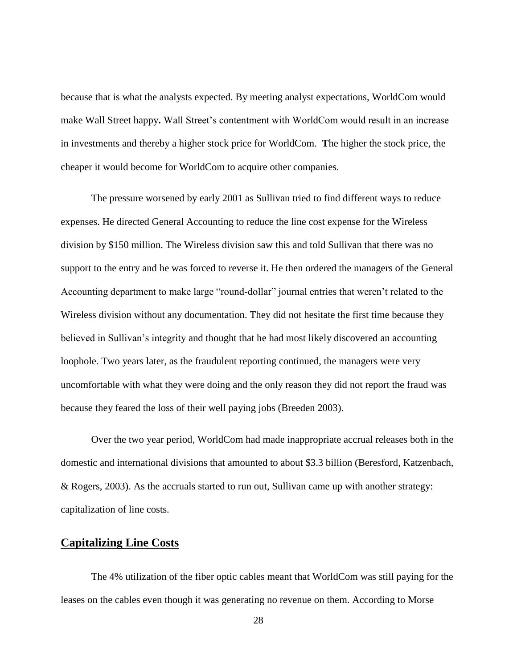because that is what the analysts expected. By meeting analyst expectations, WorldCom would make Wall Street happy. Wall Street's contentment with WorldCom would result in an increase in investments and thereby a higher stock price for WorldCom. **T**he higher the stock price, the cheaper it would become for WorldCom to acquire other companies.

The pressure worsened by early 2001 as Sullivan tried to find different ways to reduce expenses. He directed General Accounting to reduce the line cost expense for the Wireless division by \$150 million. The Wireless division saw this and told Sullivan that there was no support to the entry and he was forced to reverse it. He then ordered the managers of the General Accounting department to make large "round-dollar" journal entries that weren"t related to the Wireless division without any documentation. They did not hesitate the first time because they believed in Sullivan's integrity and thought that he had most likely discovered an accounting loophole. Two years later, as the fraudulent reporting continued, the managers were very uncomfortable with what they were doing and the only reason they did not report the fraud was because they feared the loss of their well paying jobs (Breeden 2003).

Over the two year period, WorldCom had made inappropriate accrual releases both in the domestic and international divisions that amounted to about \$3.3 billion (Beresford, Katzenbach, & Rogers, 2003). As the accruals started to run out, Sullivan came up with another strategy: capitalization of line costs.

## <span id="page-35-0"></span>**Capitalizing Line Costs**

The 4% utilization of the fiber optic cables meant that WorldCom was still paying for the leases on the cables even though it was generating no revenue on them. According to Morse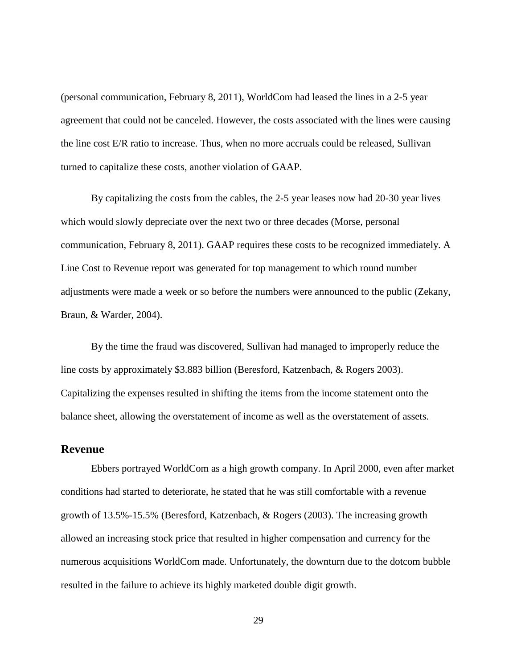(personal communication, February 8, 2011), WorldCom had leased the lines in a 2-5 year agreement that could not be canceled. However, the costs associated with the lines were causing the line cost E/R ratio to increase. Thus, when no more accruals could be released, Sullivan turned to capitalize these costs, another violation of GAAP.

By capitalizing the costs from the cables, the 2-5 year leases now had 20-30 year lives which would slowly depreciate over the next two or three decades (Morse, personal communication, February 8, 2011). GAAP requires these costs to be recognized immediately. A Line Cost to Revenue report was generated for top management to which round number adjustments were made a week or so before the numbers were announced to the public (Zekany, Braun, & Warder, 2004).

By the time the fraud was discovered, Sullivan had managed to improperly reduce the line costs by approximately \$3.883 billion (Beresford, Katzenbach, & Rogers 2003). Capitalizing the expenses resulted in shifting the items from the income statement onto the balance sheet, allowing the overstatement of income as well as the overstatement of assets.

#### <span id="page-36-0"></span>**Revenue**

Ebbers portrayed WorldCom as a high growth company. In April 2000, even after market conditions had started to deteriorate, he stated that he was still comfortable with a revenue growth of 13.5%-15.5% (Beresford, Katzenbach, & Rogers (2003). The increasing growth allowed an increasing stock price that resulted in higher compensation and currency for the numerous acquisitions WorldCom made. Unfortunately, the downturn due to the dotcom bubble resulted in the failure to achieve its highly marketed double digit growth.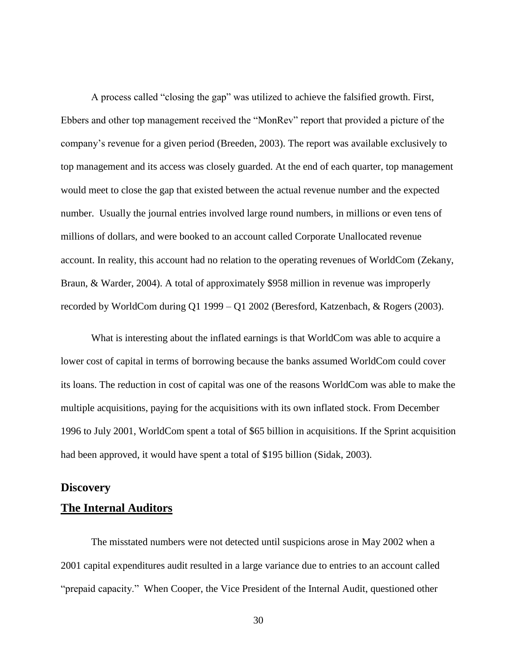A process called "closing the gap" was utilized to achieve the falsified growth. First, Ebbers and other top management received the "MonRev" report that provided a picture of the company"s revenue for a given period (Breeden, 2003). The report was available exclusively to top management and its access was closely guarded. At the end of each quarter, top management would meet to close the gap that existed between the actual revenue number and the expected number. Usually the journal entries involved large round numbers, in millions or even tens of millions of dollars, and were booked to an account called Corporate Unallocated revenue account. In reality, this account had no relation to the operating revenues of WorldCom (Zekany, Braun, & Warder, 2004). A total of approximately \$958 million in revenue was improperly recorded by WorldCom during Q1 1999 – Q1 2002 (Beresford, Katzenbach, & Rogers (2003).

What is interesting about the inflated earnings is that WorldCom was able to acquire a lower cost of capital in terms of borrowing because the banks assumed WorldCom could cover its loans. The reduction in cost of capital was one of the reasons WorldCom was able to make the multiple acquisitions, paying for the acquisitions with its own inflated stock. From December 1996 to July 2001, WorldCom spent a total of \$65 billion in acquisitions. If the Sprint acquisition had been approved, it would have spent a total of \$195 billion (Sidak, 2003).

## <span id="page-37-0"></span>**Discovery**

## <span id="page-37-1"></span>**The Internal Auditors**

The misstated numbers were not detected until suspicions arose in May 2002 when a 2001 capital expenditures audit resulted in a large variance due to entries to an account called "prepaid capacity." When Cooper, the Vice President of the Internal Audit, questioned other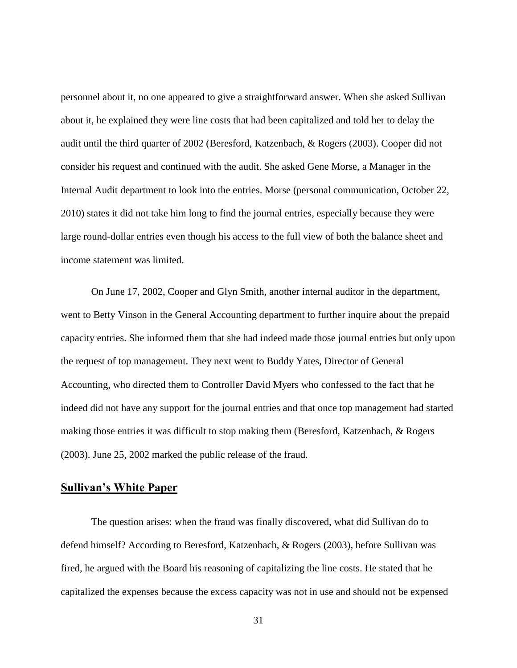personnel about it, no one appeared to give a straightforward answer. When she asked Sullivan about it, he explained they were line costs that had been capitalized and told her to delay the audit until the third quarter of 2002 (Beresford, Katzenbach, & Rogers (2003). Cooper did not consider his request and continued with the audit. She asked Gene Morse, a Manager in the Internal Audit department to look into the entries. Morse (personal communication, October 22, 2010) states it did not take him long to find the journal entries, especially because they were large round-dollar entries even though his access to the full view of both the balance sheet and income statement was limited.

On June 17, 2002, Cooper and Glyn Smith, another internal auditor in the department, went to Betty Vinson in the General Accounting department to further inquire about the prepaid capacity entries. She informed them that she had indeed made those journal entries but only upon the request of top management. They next went to Buddy Yates, Director of General Accounting, who directed them to Controller David Myers who confessed to the fact that he indeed did not have any support for the journal entries and that once top management had started making those entries it was difficult to stop making them (Beresford, Katzenbach, & Rogers (2003). June 25, 2002 marked the public release of the fraud.

## <span id="page-38-0"></span>**Sullivan's White Paper**

The question arises: when the fraud was finally discovered, what did Sullivan do to defend himself? According to Beresford, Katzenbach, & Rogers (2003), before Sullivan was fired, he argued with the Board his reasoning of capitalizing the line costs. He stated that he capitalized the expenses because the excess capacity was not in use and should not be expensed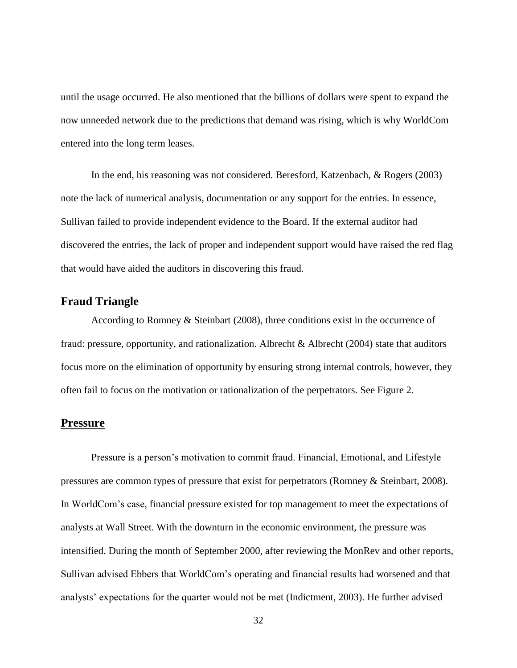until the usage occurred. He also mentioned that the billions of dollars were spent to expand the now unneeded network due to the predictions that demand was rising, which is why WorldCom entered into the long term leases.

In the end, his reasoning was not considered. Beresford, Katzenbach, & Rogers (2003) note the lack of numerical analysis, documentation or any support for the entries. In essence, Sullivan failed to provide independent evidence to the Board. If the external auditor had discovered the entries, the lack of proper and independent support would have raised the red flag that would have aided the auditors in discovering this fraud.

## <span id="page-39-0"></span>**Fraud Triangle**

According to Romney & Steinbart (2008), three conditions exist in the occurrence of fraud: pressure, opportunity, and rationalization. Albrecht  $\&$  Albrecht (2004) state that auditors focus more on the elimination of opportunity by ensuring strong internal controls, however, they often fail to focus on the motivation or rationalization of the perpetrators. See Figure 2.

### <span id="page-39-1"></span>**Pressure**

Pressure is a person"s motivation to commit fraud. Financial, Emotional, and Lifestyle pressures are common types of pressure that exist for perpetrators (Romney & Steinbart, 2008). In WorldCom"s case, financial pressure existed for top management to meet the expectations of analysts at Wall Street. With the downturn in the economic environment, the pressure was intensified. During the month of September 2000, after reviewing the MonRev and other reports, Sullivan advised Ebbers that WorldCom"s operating and financial results had worsened and that analysts' expectations for the quarter would not be met (Indictment, 2003). He further advised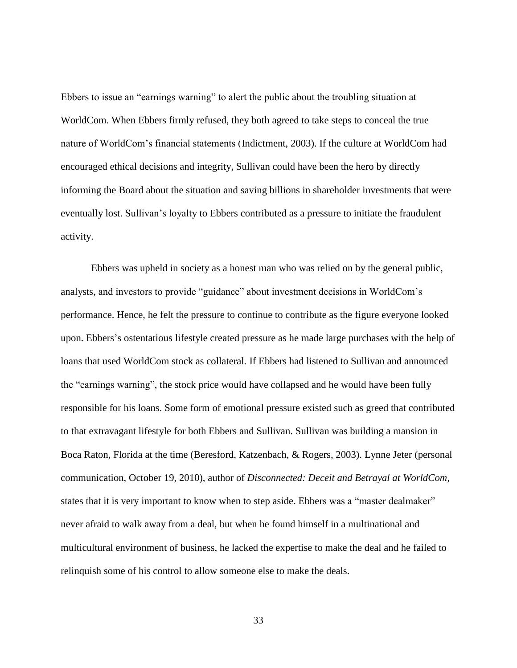Ebbers to issue an "earnings warning" to alert the public about the troubling situation at WorldCom. When Ebbers firmly refused, they both agreed to take steps to conceal the true nature of WorldCom"s financial statements (Indictment, 2003). If the culture at WorldCom had encouraged ethical decisions and integrity, Sullivan could have been the hero by directly informing the Board about the situation and saving billions in shareholder investments that were eventually lost. Sullivan"s loyalty to Ebbers contributed as a pressure to initiate the fraudulent activity.

Ebbers was upheld in society as a honest man who was relied on by the general public, analysts, and investors to provide "guidance" about investment decisions in WorldCom"s performance. Hence, he felt the pressure to continue to contribute as the figure everyone looked upon. Ebbers's ostentatious lifestyle created pressure as he made large purchases with the help of loans that used WorldCom stock as collateral. If Ebbers had listened to Sullivan and announced the "earnings warning", the stock price would have collapsed and he would have been fully responsible for his loans. Some form of emotional pressure existed such as greed that contributed to that extravagant lifestyle for both Ebbers and Sullivan. Sullivan was building a mansion in Boca Raton, Florida at the time (Beresford, Katzenbach, & Rogers, 2003). Lynne Jeter (personal communication, October 19, 2010), author of *Disconnected: Deceit and Betrayal at WorldCom*, states that it is very important to know when to step aside. Ebbers was a "master dealmaker" never afraid to walk away from a deal, but when he found himself in a multinational and multicultural environment of business, he lacked the expertise to make the deal and he failed to relinquish some of his control to allow someone else to make the deals.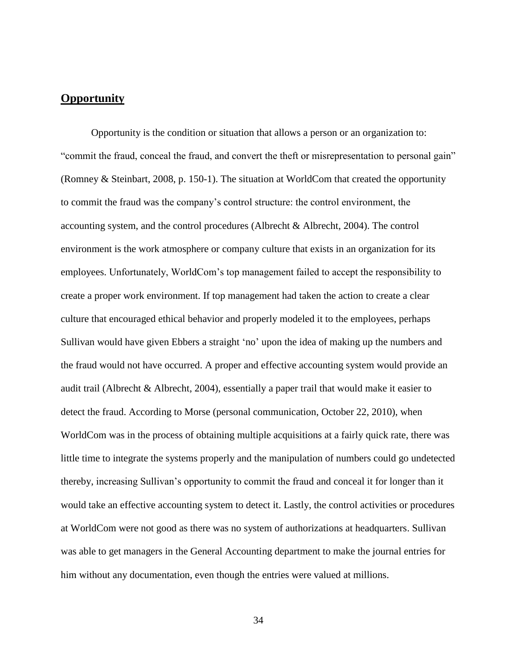## <span id="page-41-0"></span>**Opportunity**

Opportunity is the condition or situation that allows a person or an organization to: "commit the fraud, conceal the fraud, and convert the theft or misrepresentation to personal gain" (Romney & Steinbart, 2008, p. 150-1). The situation at WorldCom that created the opportunity to commit the fraud was the company"s control structure: the control environment, the accounting system, and the control procedures (Albrecht & Albrecht, 2004). The control environment is the work atmosphere or company culture that exists in an organization for its employees. Unfortunately, WorldCom"s top management failed to accept the responsibility to create a proper work environment. If top management had taken the action to create a clear culture that encouraged ethical behavior and properly modeled it to the employees, perhaps Sullivan would have given Ebbers a straight "no" upon the idea of making up the numbers and the fraud would not have occurred. A proper and effective accounting system would provide an audit trail (Albrecht & Albrecht, 2004), essentially a paper trail that would make it easier to detect the fraud. According to Morse (personal communication, October 22, 2010), when WorldCom was in the process of obtaining multiple acquisitions at a fairly quick rate, there was little time to integrate the systems properly and the manipulation of numbers could go undetected thereby, increasing Sullivan"s opportunity to commit the fraud and conceal it for longer than it would take an effective accounting system to detect it. Lastly, the control activities or procedures at WorldCom were not good as there was no system of authorizations at headquarters. Sullivan was able to get managers in the General Accounting department to make the journal entries for him without any documentation, even though the entries were valued at millions.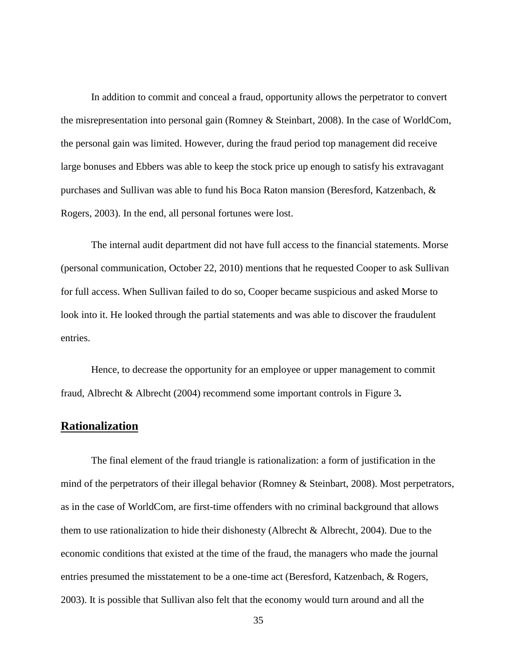In addition to commit and conceal a fraud, opportunity allows the perpetrator to convert the misrepresentation into personal gain (Romney & Steinbart, 2008). In the case of WorldCom, the personal gain was limited. However, during the fraud period top management did receive large bonuses and Ebbers was able to keep the stock price up enough to satisfy his extravagant purchases and Sullivan was able to fund his Boca Raton mansion (Beresford, Katzenbach, & Rogers, 2003). In the end, all personal fortunes were lost.

The internal audit department did not have full access to the financial statements. Morse (personal communication, October 22, 2010) mentions that he requested Cooper to ask Sullivan for full access. When Sullivan failed to do so, Cooper became suspicious and asked Morse to look into it. He looked through the partial statements and was able to discover the fraudulent entries.

Hence, to decrease the opportunity for an employee or upper management to commit fraud, Albrecht & Albrecht (2004) recommend some important controls in Figure 3**.**

## <span id="page-42-0"></span>**Rationalization**

The final element of the fraud triangle is rationalization: a form of justification in the mind of the perpetrators of their illegal behavior (Romney & Steinbart, 2008). Most perpetrators, as in the case of WorldCom, are first-time offenders with no criminal background that allows them to use rationalization to hide their dishonesty (Albrecht & Albrecht, 2004). Due to the economic conditions that existed at the time of the fraud, the managers who made the journal entries presumed the misstatement to be a one-time act (Beresford, Katzenbach, & Rogers, 2003). It is possible that Sullivan also felt that the economy would turn around and all the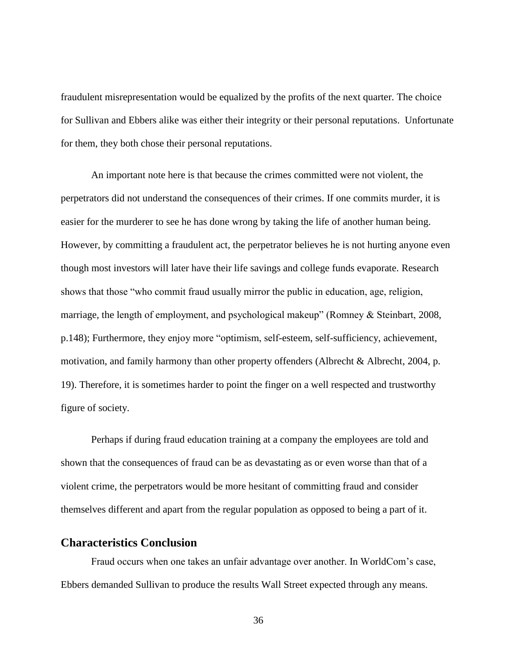fraudulent misrepresentation would be equalized by the profits of the next quarter. The choice for Sullivan and Ebbers alike was either their integrity or their personal reputations. Unfortunate for them, they both chose their personal reputations.

An important note here is that because the crimes committed were not violent, the perpetrators did not understand the consequences of their crimes. If one commits murder, it is easier for the murderer to see he has done wrong by taking the life of another human being. However, by committing a fraudulent act, the perpetrator believes he is not hurting anyone even though most investors will later have their life savings and college funds evaporate. Research shows that those "who commit fraud usually mirror the public in education, age, religion, marriage, the length of employment, and psychological makeup" (Romney & Steinbart, 2008, p.148); Furthermore, they enjoy more "optimism, self-esteem, self-sufficiency, achievement, motivation, and family harmony than other property offenders (Albrecht & Albrecht, 2004, p. 19). Therefore, it is sometimes harder to point the finger on a well respected and trustworthy figure of society.

Perhaps if during fraud education training at a company the employees are told and shown that the consequences of fraud can be as devastating as or even worse than that of a violent crime, the perpetrators would be more hesitant of committing fraud and consider themselves different and apart from the regular population as opposed to being a part of it.

## <span id="page-43-0"></span>**Characteristics Conclusion**

Fraud occurs when one takes an unfair advantage over another. In WorldCom"s case, Ebbers demanded Sullivan to produce the results Wall Street expected through any means.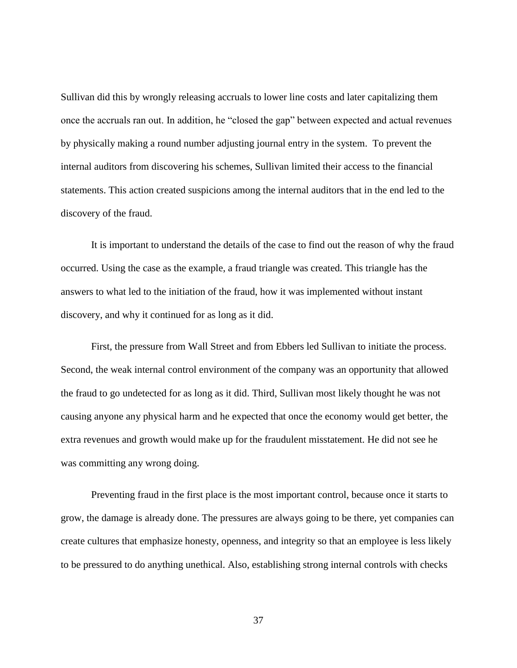Sullivan did this by wrongly releasing accruals to lower line costs and later capitalizing them once the accruals ran out. In addition, he "closed the gap" between expected and actual revenues by physically making a round number adjusting journal entry in the system. To prevent the internal auditors from discovering his schemes, Sullivan limited their access to the financial statements. This action created suspicions among the internal auditors that in the end led to the discovery of the fraud.

It is important to understand the details of the case to find out the reason of why the fraud occurred. Using the case as the example, a fraud triangle was created. This triangle has the answers to what led to the initiation of the fraud, how it was implemented without instant discovery, and why it continued for as long as it did.

First, the pressure from Wall Street and from Ebbers led Sullivan to initiate the process. Second, the weak internal control environment of the company was an opportunity that allowed the fraud to go undetected for as long as it did. Third, Sullivan most likely thought he was not causing anyone any physical harm and he expected that once the economy would get better, the extra revenues and growth would make up for the fraudulent misstatement. He did not see he was committing any wrong doing.

Preventing fraud in the first place is the most important control, because once it starts to grow, the damage is already done. The pressures are always going to be there, yet companies can create cultures that emphasize honesty, openness, and integrity so that an employee is less likely to be pressured to do anything unethical. Also, establishing strong internal controls with checks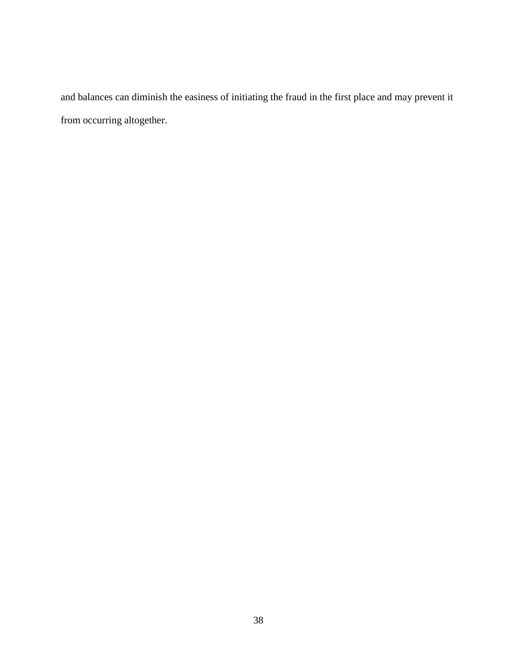and balances can diminish the easiness of initiating the fraud in the first place and may prevent it from occurring altogether.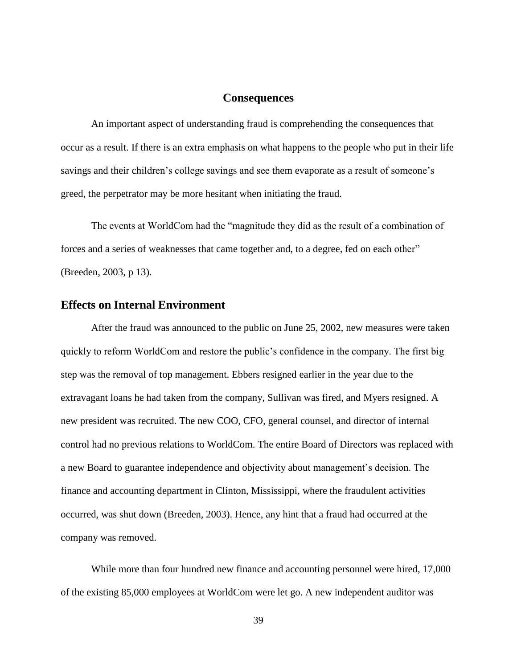#### **Consequences**

<span id="page-46-0"></span>An important aspect of understanding fraud is comprehending the consequences that occur as a result. If there is an extra emphasis on what happens to the people who put in their life savings and their children's college savings and see them evaporate as a result of someone's greed, the perpetrator may be more hesitant when initiating the fraud.

The events at WorldCom had the "magnitude they did as the result of a combination of forces and a series of weaknesses that came together and, to a degree, fed on each other" (Breeden, 2003, p 13).

## <span id="page-46-1"></span>**Effects on Internal Environment**

After the fraud was announced to the public on June 25, 2002, new measures were taken quickly to reform WorldCom and restore the public"s confidence in the company. The first big step was the removal of top management. Ebbers resigned earlier in the year due to the extravagant loans he had taken from the company, Sullivan was fired, and Myers resigned. A new president was recruited. The new COO, CFO, general counsel, and director of internal control had no previous relations to WorldCom. The entire Board of Directors was replaced with a new Board to guarantee independence and objectivity about management"s decision. The finance and accounting department in Clinton, Mississippi, where the fraudulent activities occurred, was shut down (Breeden, 2003). Hence, any hint that a fraud had occurred at the company was removed.

While more than four hundred new finance and accounting personnel were hired, 17,000 of the existing 85,000 employees at WorldCom were let go. A new independent auditor was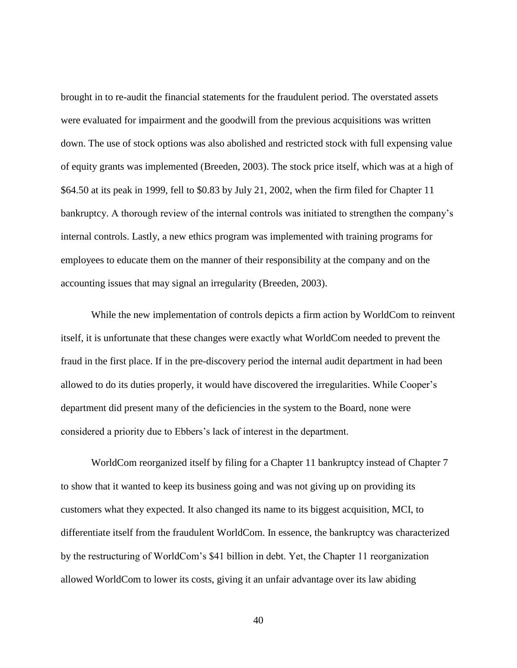brought in to re-audit the financial statements for the fraudulent period. The overstated assets were evaluated for impairment and the goodwill from the previous acquisitions was written down. The use of stock options was also abolished and restricted stock with full expensing value of equity grants was implemented (Breeden, 2003). The stock price itself, which was at a high of \$64.50 at its peak in 1999, fell to \$0.83 by July 21, 2002, when the firm filed for Chapter 11 bankruptcy. A thorough review of the internal controls was initiated to strengthen the company"s internal controls. Lastly, a new ethics program was implemented with training programs for employees to educate them on the manner of their responsibility at the company and on the accounting issues that may signal an irregularity (Breeden, 2003).

While the new implementation of controls depicts a firm action by WorldCom to reinvent itself, it is unfortunate that these changes were exactly what WorldCom needed to prevent the fraud in the first place. If in the pre-discovery period the internal audit department in had been allowed to do its duties properly, it would have discovered the irregularities. While Cooper"s department did present many of the deficiencies in the system to the Board, none were considered a priority due to Ebbers"s lack of interest in the department.

WorldCom reorganized itself by filing for a Chapter 11 bankruptcy instead of Chapter 7 to show that it wanted to keep its business going and was not giving up on providing its customers what they expected. It also changed its name to its biggest acquisition, MCI, to differentiate itself from the fraudulent WorldCom. In essence, the bankruptcy was characterized by the restructuring of WorldCom"s \$41 billion in debt. Yet, the Chapter 11 reorganization allowed WorldCom to lower its costs, giving it an unfair advantage over its law abiding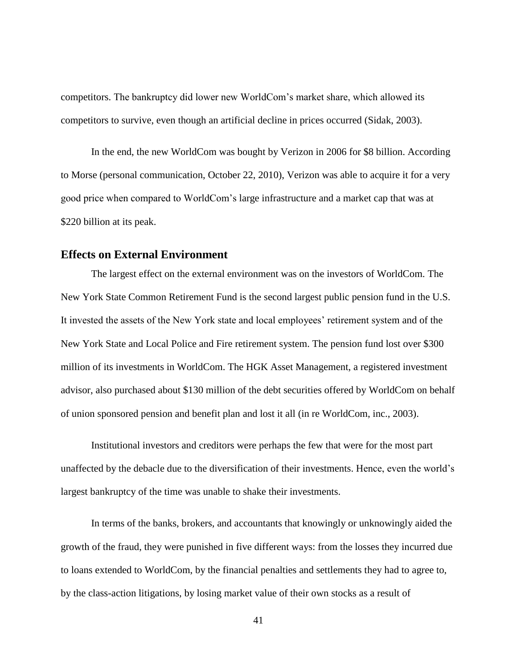competitors. The bankruptcy did lower new WorldCom"s market share, which allowed its competitors to survive, even though an artificial decline in prices occurred (Sidak, 2003).

In the end, the new WorldCom was bought by Verizon in 2006 for \$8 billion. According to Morse (personal communication, October 22, 2010), Verizon was able to acquire it for a very good price when compared to WorldCom"s large infrastructure and a market cap that was at \$220 billion at its peak.

#### <span id="page-48-0"></span>**Effects on External Environment**

The largest effect on the external environment was on the investors of WorldCom. The New York State Common Retirement Fund is the second largest public pension fund in the U.S. It invested the assets of the New York state and local employees" retirement system and of the New York State and Local Police and Fire retirement system. The pension fund lost over \$300 million of its investments in WorldCom. The HGK Asset Management, a registered investment advisor, also purchased about \$130 million of the debt securities offered by WorldCom on behalf of union sponsored pension and benefit plan and lost it all (in re WorldCom, inc., 2003).

Institutional investors and creditors were perhaps the few that were for the most part unaffected by the debacle due to the diversification of their investments. Hence, even the world"s largest bankruptcy of the time was unable to shake their investments.

In terms of the banks, brokers, and accountants that knowingly or unknowingly aided the growth of the fraud, they were punished in five different ways: from the losses they incurred due to loans extended to WorldCom, by the financial penalties and settlements they had to agree to, by the class-action litigations, by losing market value of their own stocks as a result of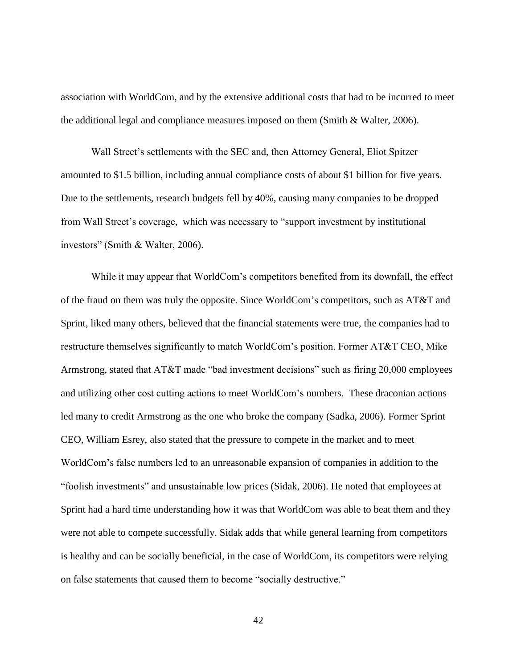association with WorldCom, and by the extensive additional costs that had to be incurred to meet the additional legal and compliance measures imposed on them (Smith & Walter, 2006).

Wall Street's settlements with the SEC and, then Attorney General, Eliot Spitzer amounted to \$1.5 billion, including annual compliance costs of about \$1 billion for five years. Due to the settlements, research budgets fell by 40%, causing many companies to be dropped from Wall Street"s coverage, which was necessary to "support investment by institutional investors" (Smith & Walter, 2006).

While it may appear that WorldCom"s competitors benefited from its downfall, the effect of the fraud on them was truly the opposite. Since WorldCom"s competitors, such as AT&T and Sprint, liked many others, believed that the financial statements were true, the companies had to restructure themselves significantly to match WorldCom"s position. Former AT&T CEO, Mike Armstrong, stated that AT&T made "bad investment decisions" such as firing 20,000 employees and utilizing other cost cutting actions to meet WorldCom"s numbers. These draconian actions led many to credit Armstrong as the one who broke the company (Sadka, 2006). Former Sprint CEO, William Esrey, also stated that the pressure to compete in the market and to meet WorldCom"s false numbers led to an unreasonable expansion of companies in addition to the "foolish investments" and unsustainable low prices (Sidak, 2006). He noted that employees at Sprint had a hard time understanding how it was that WorldCom was able to beat them and they were not able to compete successfully. Sidak adds that while general learning from competitors is healthy and can be socially beneficial, in the case of WorldCom, its competitors were relying on false statements that caused them to become "socially destructive."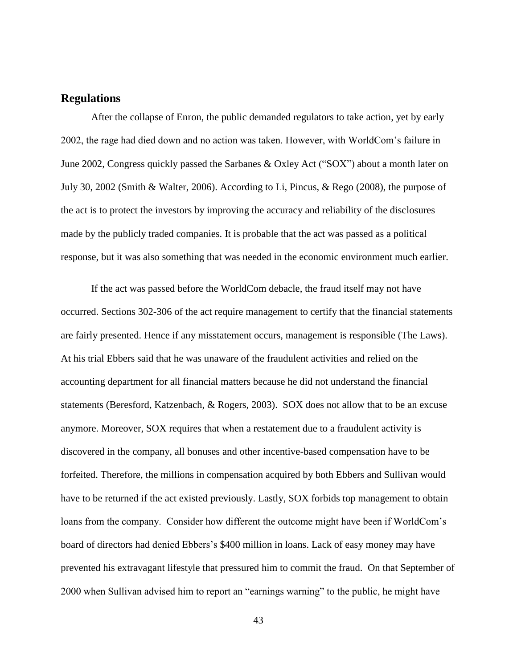## <span id="page-50-0"></span>**Regulations**

After the collapse of Enron, the public demanded regulators to take action, yet by early 2002, the rage had died down and no action was taken. However, with WorldCom"s failure in June 2002, Congress quickly passed the Sarbanes & Oxley Act ("SOX") about a month later on July 30, 2002 (Smith & Walter, 2006). According to Li, Pincus, & Rego (2008), the purpose of the act is to protect the investors by improving the accuracy and reliability of the disclosures made by the publicly traded companies. It is probable that the act was passed as a political response, but it was also something that was needed in the economic environment much earlier.

If the act was passed before the WorldCom debacle, the fraud itself may not have occurred. Sections 302-306 of the act require management to certify that the financial statements are fairly presented. Hence if any misstatement occurs, management is responsible (The Laws). At his trial Ebbers said that he was unaware of the fraudulent activities and relied on the accounting department for all financial matters because he did not understand the financial statements (Beresford, Katzenbach, & Rogers, 2003). SOX does not allow that to be an excuse anymore. Moreover, SOX requires that when a restatement due to a fraudulent activity is discovered in the company, all bonuses and other incentive-based compensation have to be forfeited. Therefore, the millions in compensation acquired by both Ebbers and Sullivan would have to be returned if the act existed previously. Lastly, SOX forbids top management to obtain loans from the company. Consider how different the outcome might have been if WorldCom"s board of directors had denied Ebbers"s \$400 million in loans. Lack of easy money may have prevented his extravagant lifestyle that pressured him to commit the fraud. On that September of 2000 when Sullivan advised him to report an "earnings warning" to the public, he might have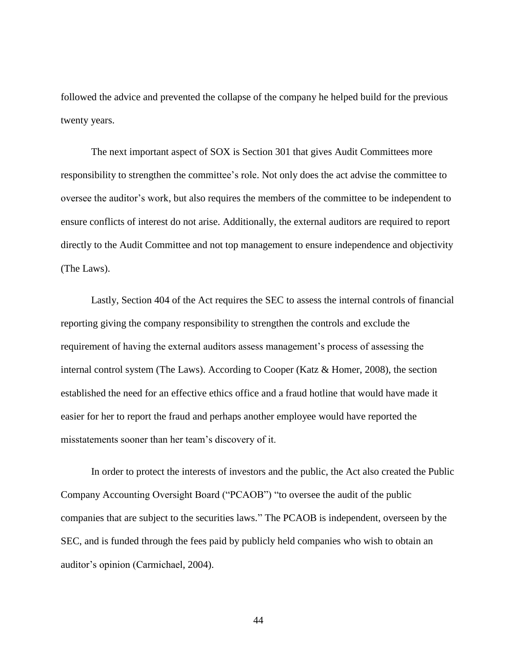followed the advice and prevented the collapse of the company he helped build for the previous twenty years.

The next important aspect of SOX is Section 301 that gives Audit Committees more responsibility to strengthen the committee"s role. Not only does the act advise the committee to oversee the auditor"s work, but also requires the members of the committee to be independent to ensure conflicts of interest do not arise. Additionally, the external auditors are required to report directly to the Audit Committee and not top management to ensure independence and objectivity (The Laws).

Lastly, Section 404 of the Act requires the SEC to assess the internal controls of financial reporting giving the company responsibility to strengthen the controls and exclude the requirement of having the external auditors assess management"s process of assessing the internal control system (The Laws). According to Cooper (Katz & Homer, 2008), the section established the need for an effective ethics office and a fraud hotline that would have made it easier for her to report the fraud and perhaps another employee would have reported the misstatements sooner than her team"s discovery of it.

In order to protect the interests of investors and the public, the Act also created the Public Company Accounting Oversight Board ("PCAOB") "to oversee the audit of the public companies that are subject to the securities laws." The PCAOB is independent, overseen by the SEC, and is funded through the fees paid by publicly held companies who wish to obtain an auditor"s opinion (Carmichael, 2004).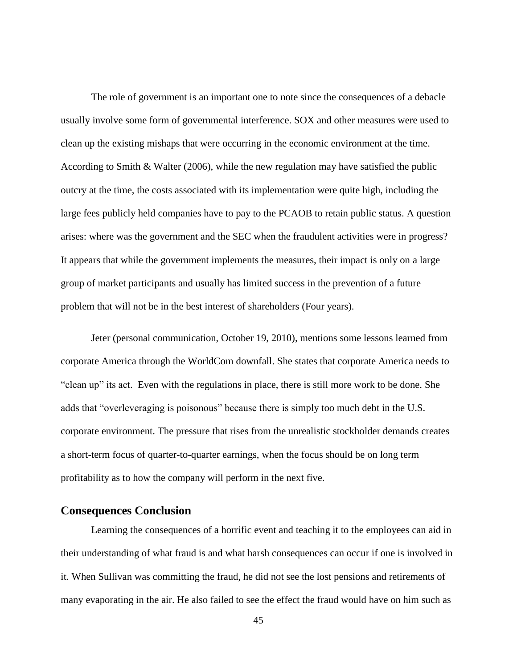The role of government is an important one to note since the consequences of a debacle usually involve some form of governmental interference. SOX and other measures were used to clean up the existing mishaps that were occurring in the economic environment at the time. According to Smith & Walter (2006), while the new regulation may have satisfied the public outcry at the time, the costs associated with its implementation were quite high, including the large fees publicly held companies have to pay to the PCAOB to retain public status. A question arises: where was the government and the SEC when the fraudulent activities were in progress? It appears that while the government implements the measures, their impact is only on a large group of market participants and usually has limited success in the prevention of a future problem that will not be in the best interest of shareholders (Four years).

Jeter (personal communication, October 19, 2010), mentions some lessons learned from corporate America through the WorldCom downfall. She states that corporate America needs to "clean up" its act. Even with the regulations in place, there is still more work to be done. She adds that "overleveraging is poisonous" because there is simply too much debt in the U.S. corporate environment. The pressure that rises from the unrealistic stockholder demands creates a short-term focus of quarter-to-quarter earnings, when the focus should be on long term profitability as to how the company will perform in the next five.

## <span id="page-52-0"></span>**Consequences Conclusion**

Learning the consequences of a horrific event and teaching it to the employees can aid in their understanding of what fraud is and what harsh consequences can occur if one is involved in it. When Sullivan was committing the fraud, he did not see the lost pensions and retirements of many evaporating in the air. He also failed to see the effect the fraud would have on him such as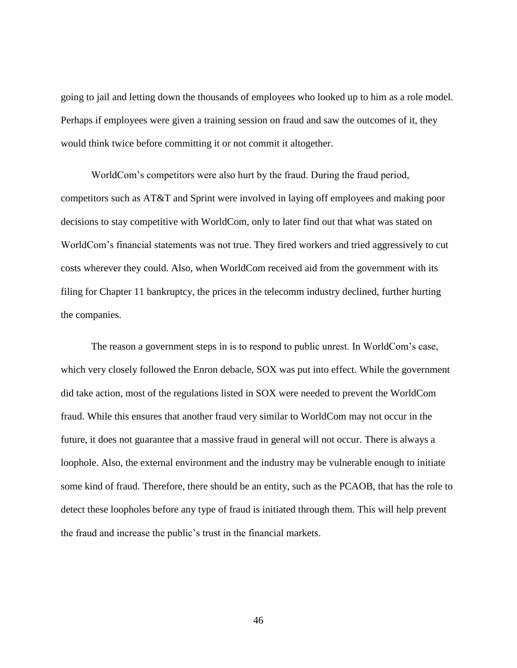going to jail and letting down the thousands of employees who looked up to him as a role model. Perhaps if employees were given a training session on fraud and saw the outcomes of it, they would think twice before committing it or not commit it altogether.

WorldCom"s competitors were also hurt by the fraud. During the fraud period, competitors such as AT&T and Sprint were involved in laying off employees and making poor decisions to stay competitive with WorldCom, only to later find out that what was stated on WorldCom"s financial statements was not true. They fired workers and tried aggressively to cut costs wherever they could. Also, when WorldCom received aid from the government with its filing for Chapter 11 bankruptcy, the prices in the telecomm industry declined, further hurting the companies.

The reason a government steps in is to respond to public unrest. In WorldCom"s case, which very closely followed the Enron debacle, SOX was put into effect. While the government did take action, most of the regulations listed in SOX were needed to prevent the WorldCom fraud. While this ensures that another fraud very similar to WorldCom may not occur in the future, it does not guarantee that a massive fraud in general will not occur. There is always a loophole. Also, the external environment and the industry may be vulnerable enough to initiate some kind of fraud. Therefore, there should be an entity, such as the PCAOB, that has the role to detect these loopholes before any type of fraud is initiated through them. This will help prevent the fraud and increase the public"s trust in the financial markets.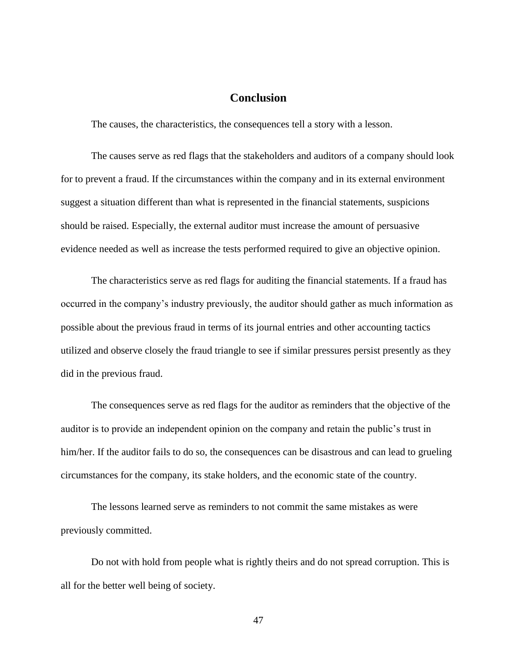## **Conclusion**

<span id="page-54-0"></span>The causes, the characteristics, the consequences tell a story with a lesson.

The causes serve as red flags that the stakeholders and auditors of a company should look for to prevent a fraud. If the circumstances within the company and in its external environment suggest a situation different than what is represented in the financial statements, suspicions should be raised. Especially, the external auditor must increase the amount of persuasive evidence needed as well as increase the tests performed required to give an objective opinion.

The characteristics serve as red flags for auditing the financial statements. If a fraud has occurred in the company"s industry previously, the auditor should gather as much information as possible about the previous fraud in terms of its journal entries and other accounting tactics utilized and observe closely the fraud triangle to see if similar pressures persist presently as they did in the previous fraud.

The consequences serve as red flags for the auditor as reminders that the objective of the auditor is to provide an independent opinion on the company and retain the public"s trust in him/her. If the auditor fails to do so, the consequences can be disastrous and can lead to grueling circumstances for the company, its stake holders, and the economic state of the country.

The lessons learned serve as reminders to not commit the same mistakes as were previously committed.

Do not with hold from people what is rightly theirs and do not spread corruption. This is all for the better well being of society.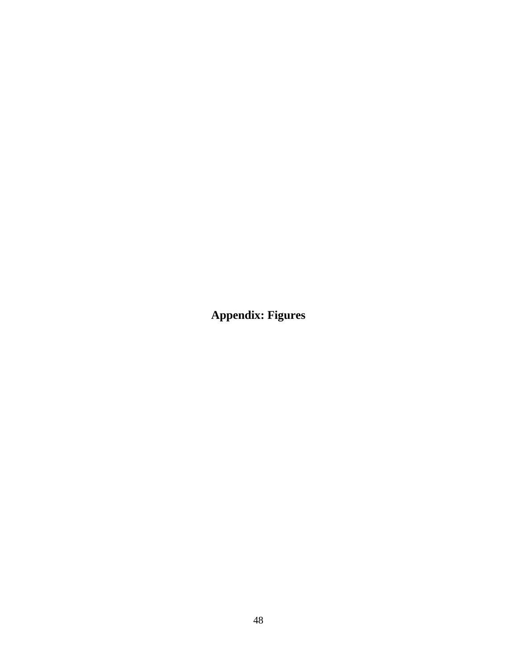<span id="page-55-0"></span>**Appendix: Figures**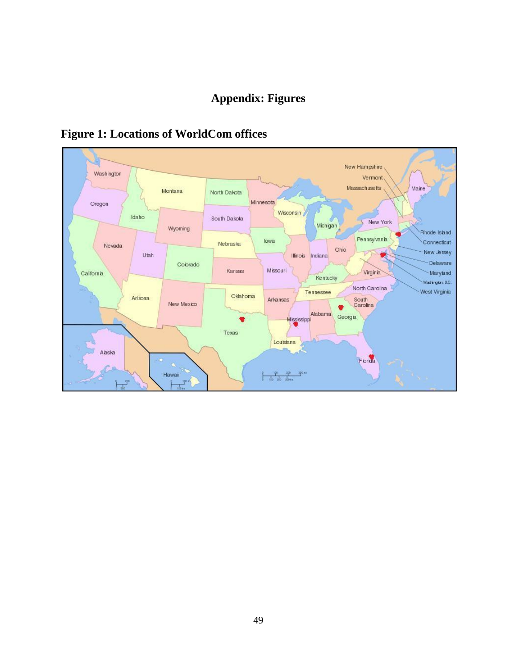## **Appendix: Figures**



# <span id="page-56-0"></span>**Figure 1: Locations of WorldCom offices**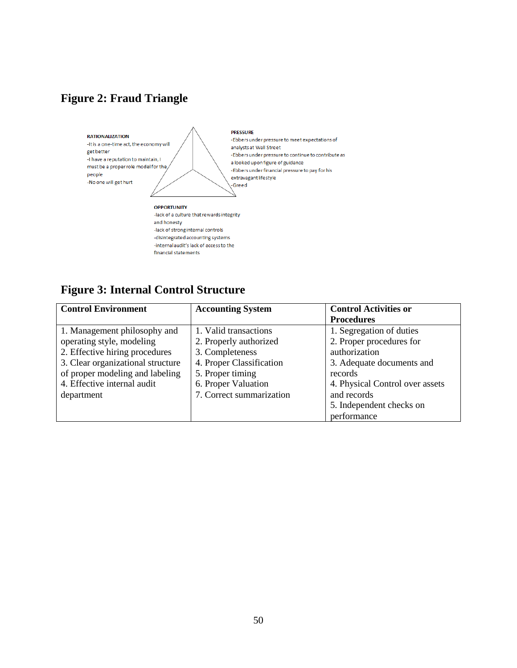## <span id="page-57-0"></span>**Figure 2: Fraud Triangle**



# <span id="page-57-1"></span>**Figure 3: Internal Control Structure**

| <b>Control Environment</b>        | <b>Accounting System</b> | <b>Control Activities or</b>    |
|-----------------------------------|--------------------------|---------------------------------|
|                                   |                          | <b>Procedures</b>               |
| 1. Management philosophy and      | 1. Valid transactions    | 1. Segregation of duties        |
| operating style, modeling         | 2. Properly authorized   | 2. Proper procedures for        |
| 2. Effective hiring procedures    | 3. Completeness          | authorization                   |
| 3. Clear organizational structure | 4. Proper Classification | 3. Adequate documents and       |
| of proper modeling and labeling   | 5. Proper timing         | records                         |
| 4. Effective internal audit       | 6. Proper Valuation      | 4. Physical Control over assets |
| department                        | 7. Correct summarization | and records                     |
|                                   |                          | 5. Independent checks on        |
|                                   |                          | performance                     |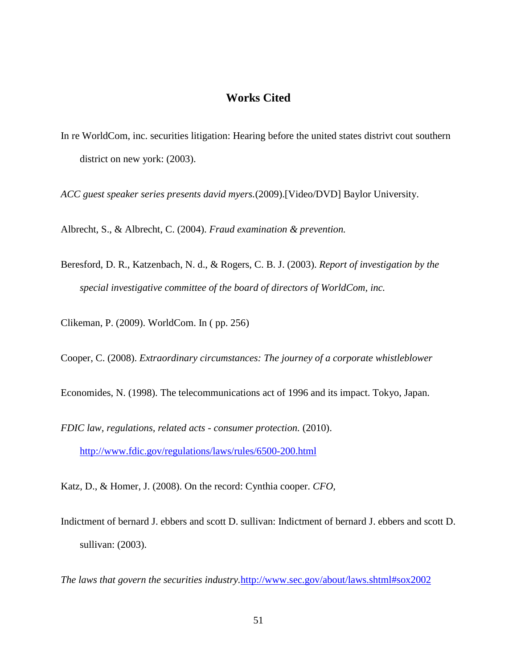## **Works Cited**

<span id="page-58-0"></span>In re WorldCom, inc. securities litigation: Hearing before the united states distrivt cout southern district on new york: (2003).

*ACC guest speaker series presents david myers.*(2009).[Video/DVD] Baylor University.

Albrecht, S., & Albrecht, C. (2004). *Fraud examination & prevention.*

Beresford, D. R., Katzenbach, N. d., & Rogers, C. B. J. (2003). *Report of investigation by the special investigative committee of the board of directors of WorldCom, inc.* 

Clikeman, P. (2009). WorldCom. In ( pp. 256)

Cooper, C. (2008). *Extraordinary circumstances: The journey of a corporate whistleblower*

Economides, N. (1998). The telecommunications act of 1996 and its impact. Tokyo, Japan.

*FDIC law, regulations, related acts - consumer protection.* (2010). <http://www.fdic.gov/regulations/laws/rules/6500-200.html>

Katz, D., & Homer, J. (2008). On the record: Cynthia cooper. *CFO,* 

Indictment of bernard J. ebbers and scott D. sullivan: Indictment of bernard J. ebbers and scott D. sullivan: (2003).

*The laws that govern the securities industry.*<http://www.sec.gov/about/laws.shtml#sox2002>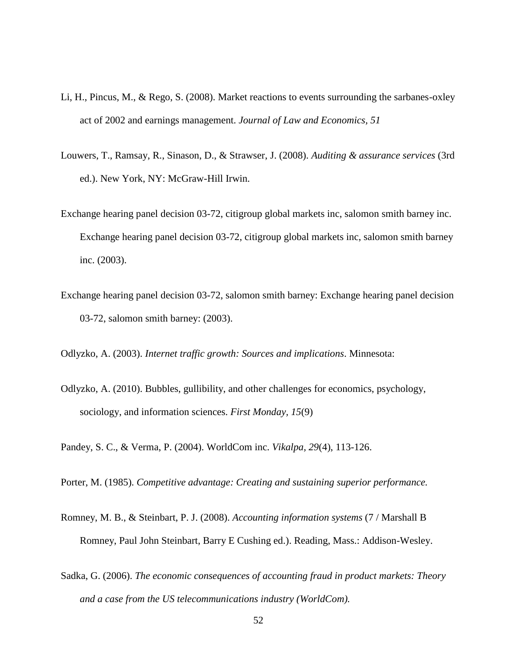- Li, H., Pincus, M., & Rego, S. (2008). Market reactions to events surrounding the sarbanes-oxley act of 2002 and earnings management. *Journal of Law and Economics, 51*
- Louwers, T., Ramsay, R., Sinason, D., & Strawser, J. (2008). *Auditing & assurance services* (3rd ed.). New York, NY: McGraw-Hill Irwin.
- Exchange hearing panel decision 03-72, citigroup global markets inc, salomon smith barney inc. Exchange hearing panel decision 03-72, citigroup global markets inc, salomon smith barney inc. (2003).
- Exchange hearing panel decision 03-72, salomon smith barney: Exchange hearing panel decision 03-72, salomon smith barney: (2003).

Odlyzko, A. (2003). *Internet traffic growth: Sources and implications*. Minnesota:

Odlyzko, A. (2010). Bubbles, gullibility, and other challenges for economics, psychology, sociology, and information sciences. *First Monday, 15*(9)

Pandey, S. C., & Verma, P. (2004). WorldCom inc. *Vikalpa, 29*(4), 113-126.

Porter, M. (1985). *Competitive advantage: Creating and sustaining superior performance.*

- Romney, M. B., & Steinbart, P. J. (2008). *Accounting information systems* (7 / Marshall B Romney, Paul John Steinbart, Barry E Cushing ed.). Reading, Mass.: Addison-Wesley.
- Sadka, G. (2006). *The economic consequences of accounting fraud in product markets: Theory and a case from the US telecommunications industry (WorldCom).*